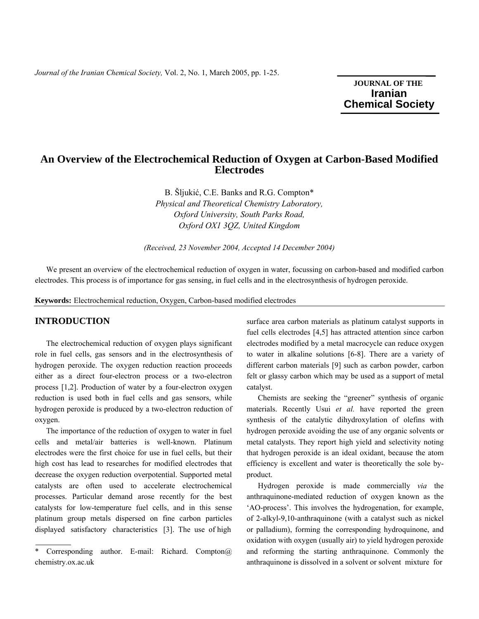**JOURNAL OF THE Iranian**  **Chemical Society** 

# **An Overview of the Electrochemical Reduction of Oxygen at Carbon-Based Modified Electrodes**

B. Šljukić, C.E. Banks and R.G. Compton\* *Physical and Theoretical Chemistry Laboratory, Oxford University, South Parks Road, Oxford OX1 3QZ, United Kingdom* 

*(Received, 23 November 2004, Accepted 14 December 2004)* 

 We present an overview of the electrochemical reduction of oxygen in water, focussing on carbon-based and modified carbon electrodes. This process is of importance for gas sensing, in fuel cells and in the electrosynthesis of hydrogen peroxide.

**Keywords:** Electrochemical reduction, Oxygen, Carbon-based modified electrodes

#### **INTRODUCTION**

 The electrochemical reduction of oxygen plays significant role in fuel cells, gas sensors and in the electrosynthesis of hydrogen peroxide. The oxygen reduction reaction proceeds either as a direct four-electron process or a two-electron process [1,2]. Production of water by a four-electron oxygen reduction is used both in fuel cells and gas sensors, while hydrogen peroxide is produced by a two-electron reduction of oxygen.

 The importance of the reduction of oxygen to water in fuel cells and metal/air batteries is well-known. Platinum electrodes were the first choice for use in fuel cells, but their high cost has lead to researches for modified electrodes that decrease the oxygen reduction overpotential. Supported metal catalysts are often used to accelerate electrochemical processes. Particular demand arose recently for the best catalysts for low-temperature fuel cells, and in this sense platinum group metals dispersed on fine carbon particles displayed satisfactory characteristics [3]. The use of high

surface area carbon materials as platinum catalyst supports in fuel cells electrodes [4,5] has attracted attention since carbon electrodes modified by a metal macrocycle can reduce oxygen to water in alkaline solutions [6-8]. There are a variety of different carbon materials [9] such as carbon powder, carbon felt or glassy carbon which may be used as a support of metal catalyst.

 Chemists are seeking the "greener" synthesis of organic materials. Recently Usui *et al.* have reported the green synthesis of the catalytic dihydroxylation of olefins with hydrogen peroxide avoiding the use of any organic solvents or metal catalysts. They report high yield and selectivity noting that hydrogen peroxide is an ideal oxidant, because the atom efficiency is excellent and water is theoretically the sole byproduct.

 Hydrogen peroxide is made commercially *via* the anthraquinone-mediated reduction of oxygen known as the 'AO-process'. This involves the hydrogenation, for example, of 2-alkyl-9,10-anthraquinone (with a catalyst such as nickel or palladium), forming the corresponding hydroquinone, and oxidation with oxygen (usually air) to yield hydrogen peroxide and reforming the starting anthraquinone. Commonly the anthraquinone is dissolved in a solvent or solvent mixture for

Corresponding author. E-mail: Richard. Compton $@$ . chemistry.ox.ac.uk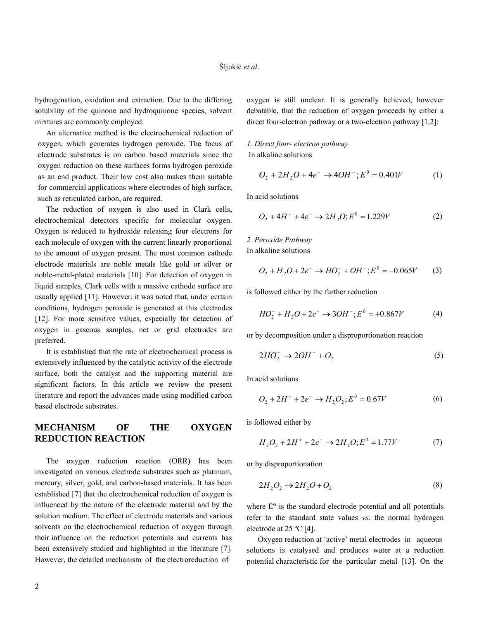hydrogenation, oxidation and extraction. Due to the differing solubility of the quinone and hydroquinone species, solvent mixtures are commonly employed.

 An alternative method is the electrochemical reduction of oxygen, which generates hydrogen peroxide. The focus of electrode substrates is on carbon based materials since the oxygen reduction on these surfaces forms hydrogen peroxide as an end product. Their low cost also makes them suitable for commercial applications where electrodes of high surface, such as reticulated carbon, are required.

 The reduction of oxygen is also used in Clark cells, electrochemical detectors specific for molecular oxygen. Oxygen is reduced to hydroxide releasing four electrons for each molecule of oxygen with the current linearly proportional to the amount of oxygen present. The most common cathode electrode materials are noble metals like gold or silver or noble-metal-plated materials [10]. For detection of oxygen in liquid samples, Clark cells with a massive cathode surface are usually applied [11]. However, it was noted that, under certain conditions, hydrogen peroxide is generated at this electrodes [12]. For more sensitive values, especially for detection of oxygen in gaseous samples, net or grid electrodes are preferred.

 It is established that the rate of electrochemical process is extensively influenced by the catalytic activity of the electrode surface, both the catalyst and the supporting material are significant factors. In this article we review the present literature and report the advances made using modified carbon based electrode substrates.

## **MECHANISM OF THE OXYGEN REDUCTION REACTION**

 The oxygen reduction reaction (ORR) has been investigated on various electrode substrates such as platinum, mercury, silver, gold, and carbon-based materials. It has been established [7] that the electrochemical reduction of oxygen is influenced by the nature of the electrode material and by the solution medium. The effect of electrode materials and various solvents on the electrochemical reduction of oxygen through their influence on the reduction potentials and currents has been extensively studied and highlighted in the literature [7]. However, the detailed mechanism of the electroreduction of

oxygen is still unclear. It is generally believed, however debatable, that the reduction of oxygen proceeds by either a direct four-electron pathway or a two-electron pathway [1,2]:

#### *1. Direct four- electron pathway*  In alkaline solutions

$$
O_2 + 2H_2O + 4e^- \to 4OH^-; E^0 = 0.401V \tag{1}
$$

In acid solutions

$$
O_2 + 4H^+ + 4e^- \to 2H_2O; E^0 = 1.229V
$$
 (2)

#### *2. Peroxide Pathway*  In alkaline solutions

$$
O_2 + H_2O + 2e^- \rightarrow HO_2^- + OH^-; E^0 = -0.065V \tag{3}
$$

is followed either by the further reduction

$$
HO_2^- + H_2O + 2e^- \to 3OH^-; E^0 = +0.867V \tag{4}
$$

or by decomposition under a disproportionation reaction

$$
2HO_2^- \to 2OH^- + O_2 \tag{5}
$$

In acid solutions

$$
O_2 + 2H^+ + 2e^- \to H_2O_2; E^0 = 0.67V
$$
 (6)

is followed either by

$$
H_2O_2 + 2H^+ + 2e^- \to 2H_2O; E^0 = 1.77V \tag{7}
$$

or by disproportionation

$$
2H_2O_2 \to 2H_2O + O_2 \tag{8}
$$

where  $E^{\circ}$  is the standard electrode potential and all potentials refer to the standard state values *vs*. the normal hydrogen electrode at 25 ºC [4].

 Oxygen reduction at 'active' metal electrodes in aqueous solutions is catalysed and produces water at a reduction potential characteristic for the particular metal [13]. On the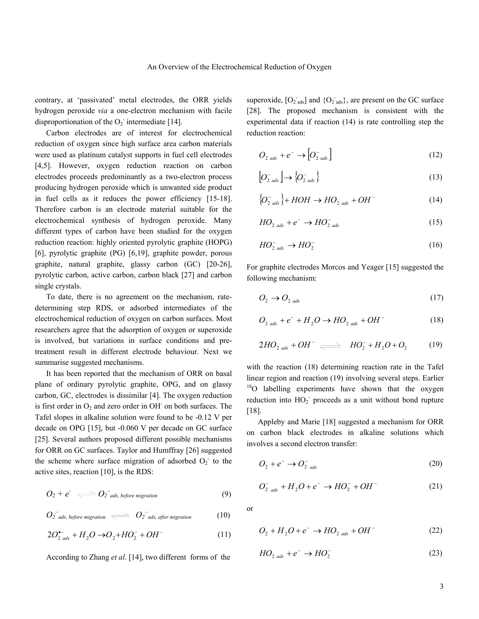contrary, at 'passivated' metal electrodes, the ORR yields hydrogen peroxide *via* a one-electron mechanism with facile disproportionation of the  $O_2$  intermediate [14].

 Carbon electrodes are of interest for electrochemical reduction of oxygen since high surface area carbon materials were used as platinum catalyst supports in fuel cell electrodes [4,5]. However, oxygen reduction reaction on carbon electrodes proceeds predominantly as a two-electron process producing hydrogen peroxide which is unwanted side product in fuel cells as it reduces the power efficiency [15-18]. Therefore carbon is an electrode material suitable for the electrochemical synthesis of hydrogen peroxide. Many different types of carbon have been studied for the oxygen reduction reaction: highly oriented pyrolytic graphite (HOPG) [6], pyrolytic graphite (PG) [6,19], graphite powder, porous graphite, natural graphite, glassy carbon (GC) [20-26], pyrolytic carbon, active carbon, carbon black [27] and carbon single crystals.

 To date, there is no agreement on the mechanism, ratedetermining step RDS, or adsorbed intermediates of the electrochemical reduction of oxygen on carbon surfaces. Most researchers agree that the adsorption of oxygen or superoxide is involved, but variations in surface conditions and pretreatment result in different electrode behaviour. Next we summarise suggested mechanisms.

 It has been reported that the mechanism of ORR on basal plane of ordinary pyrolytic graphite, OPG, and on glassy carbon, GC, electrodes is dissimilar [4]. The oxygen reduction is first order in  $O_2$  and zero order in OH on both surfaces. The Tafel slopes in alkaline solution were found to be -0.12 V per decade on OPG [15], but -0.060 V per decade on GC surface [25]. Several authors proposed different possible mechanisms for ORR on GC surfaces. Taylor and Humffray [26] suggested the scheme where surface migration of adsorbed  $O_2$  to the active sites, reaction [10], is the RDS:

$$
O_2 + e^- \iff O_2^{\dagger} \text{ads, before migration} \tag{9}
$$

$$
O_2^{\bullet} \text{ads, before migration} \iff O_2^{\bullet} \text{ads, after migration} \tag{10}
$$

$$
2O_{2\,ads}^{+-} + H_2O \rightarrow O_2 + HO_2^- + OH^- \tag{11}
$$

According to Zhang *et al*. [14], two different forms of the

superoxide,  $[O_{2}]$  and  $\{O_{2}]$  ads), are present on the GC surface [28]. The proposed mechanism is consistent with the experimental data if reaction (14) is rate controlling step the reduction reaction:

$$
O_{2\,ads} + e^- \rightarrow [O_{2\,ads}^-]
$$
 (12)

$$
\left[O_{2\ads}^{-}\right] \to \left\{O_{2\ads}^{-}\right\} \tag{13}
$$

$$
\left\{O_{2 \text{ads}}^{-}\right\} + HOH \to HO_{2 \text{ads}} + OH^{-}
$$
 (14)

$$
HO_{2\;ads} + e^- \to HO_{2\;ads}^- \tag{15}
$$

$$
HO_{2\text{ads}}^{-} \to HO_{2}^{-} \tag{16}
$$

For graphite electrodes Morcos and Yeager [15] suggested the following mechanism:

$$
O_2 \to O_{2\,ads} \tag{17}
$$

$$
O_{2\,ads} + e^- + H_2O \rightarrow HO_{2\,ads} + OH^-\tag{18}
$$

$$
2HO_{2\,ads} + OH^- \underset{\longleftarrow}{\longrightarrow} HO_2^- + H_2O + O_2 \tag{19}
$$

with the reaction (18) determining reaction rate in the Tafel linear region and reaction (19) involving several steps. Earlier  $18$ O labelling experiments have shown that the oxygen reduction into  $HO_2$ <sup>-</sup> proceeds as a unit without bond rupture [18].

 Appleby and Marie [18] suggested a mechanism for ORR on carbon black electrodes in alkaline solutions which involves a second electron transfer:

$$
O_2 + e^- \rightarrow O_{2 \text{ads}}^- \tag{20}
$$

$$
O_{2 \text{ads}}^{-} + H_2O + e^- \rightarrow HO_2^{-} + OH^- \tag{21}
$$

or

$$
O_2 + H_2O + e^- \to HO_{2\,ads} + OH^-
$$
 (22)

$$
HO_{2\,ads} + e^- \to HO_2^- \tag{23}
$$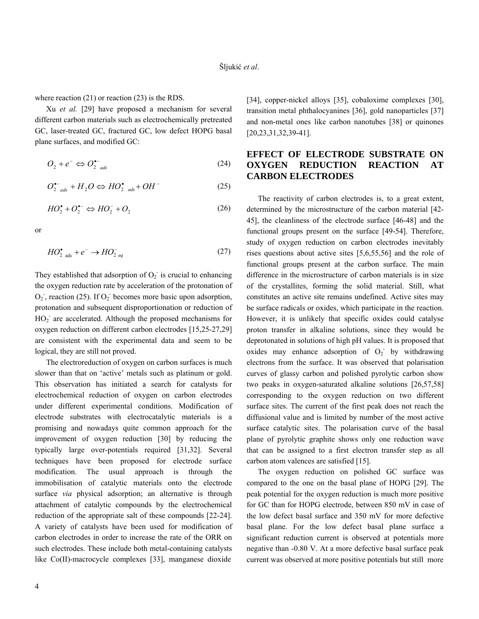where reaction (21) or reaction (23) is the RDS.

 Xu *et al.* [29] have proposed a mechanism for several different carbon materials such as electrochemically pretreated GC, laser-treated GC, fractured GC, low defect HOPG basal plane surfaces, and modified GC:

$$
O_2 + e^- \Leftrightarrow O_2^{--} \text{ads}
$$
 (24)

$$
O_{2\text{ads}}^{\bullet-} + H_2O \Leftrightarrow HO_{2\text{ads}}^{\bullet} + OH^- \tag{25}
$$

$$
HO_2^{\bullet} + O_2^{\bullet-} \Leftrightarrow HO_2^- + O_2 \tag{26}
$$

or

$$
HO_{2\text{ads}}^{\bullet} + e^{-} \rightarrow HO_{2\text{aq}}^{-} \tag{27}
$$

They established that adsorption of  $O_2$  is crucial to enhancing the oxygen reduction rate by acceleration of the protonation of  $O_2$ , reaction (25). If  $O_2$  becomes more basic upon adsorption, protonation and subsequent disproportionation or reduction of  $HO<sub>2</sub>$  are accelerated. Although the proposed mechanisms for oxygen reduction on different carbon electrodes [15,25-27,29] are consistent with the experimental data and seem to be logical, they are still not proved.

 The electroreduction of oxygen on carbon surfaces is much slower than that on 'active' metals such as platinum or gold. This observation has initiated a search for catalysts for electrochemical reduction of oxygen on carbon electrodes under different experimental conditions. Modification of electrode substrates with electrocatalytic materials is a promising and nowadays quite common approach for the improvement of oxygen reduction [30] by reducing the typically large over-potentials required [31,32]. Several techniques have been proposed for electrode surface modification. The usual approach is through the immobilisation of catalytic materials onto the electrode surface *via* physical adsorption; an alternative is through attachment of catalytic compounds by the electrochemical reduction of the appropriate salt of these compounds [22-24]. A variety of catalysts have been used for modification of carbon electrodes in order to increase the rate of the ORR on such electrodes. These include both metal-containing catalysts like Co(II)-macrocycle complexes [33], manganese dioxide

[34], copper-nickel alloys [35], cobaloxime complexes [30], transition metal phthalocyanines [36], gold nanoparticles [37] and non-metal ones like carbon nanotubes [38] or quinones [20,23,31,32,39-41].

# **EFFECT OF ELECTRODE SUBSTRATE ON OXYGEN REDUCTION REACTION AT CARBON ELECTRODES**

 The reactivity of carbon electrodes is, to a great extent, determined by the microstructure of the carbon material [42- 45], the cleanliness of the electrode surface [46-48] and the functional groups present on the surface [49-54]. Therefore, study of oxygen reduction on carbon electrodes inevitably rises questions about active sites [5,6,55,56] and the role of functional groups present at the carbon surface. The main difference in the microstructure of carbon materials is in size of the crystallites, forming the solid material. Still, what constitutes an active site remains undefined. Active sites may be surface radicals or oxides, which participate in the reaction. However, it is unlikely that specific oxides could catalyse proton transfer in alkaline solutions, since they would be deprotonated in solutions of high pH values. It is proposed that oxides may enhance adsorption of  $O_2$  by withdrawing electrons from the surface. It was observed that polarisation curves of glassy carbon and polished pyrolytic carbon show two peaks in oxygen-saturated alkaline solutions [26,57,58] corresponding to the oxygen reduction on two different surface sites. The current of the first peak does not reach the diffusional value and is limited by number of the most active surface catalytic sites. The polarisation curve of the basal plane of pyrolytic graphite shows only one reduction wave that can be assigned to a first electron transfer step as all carbon atom valences are satisfied [15].

 The oxygen reduction on polished GC surface was compared to the one on the basal plane of HOPG [29]. The peak potential for the oxygen reduction is much more positive for GC than for HOPG electrode, between 850 mV in case of the low defect basal surface and 350 mV for more defective basal plane. For the low defect basal plane surface a significant reduction current is observed at potentials more negative than -0.80 V. At a more defective basal surface peak current was observed at more positive potentials but still more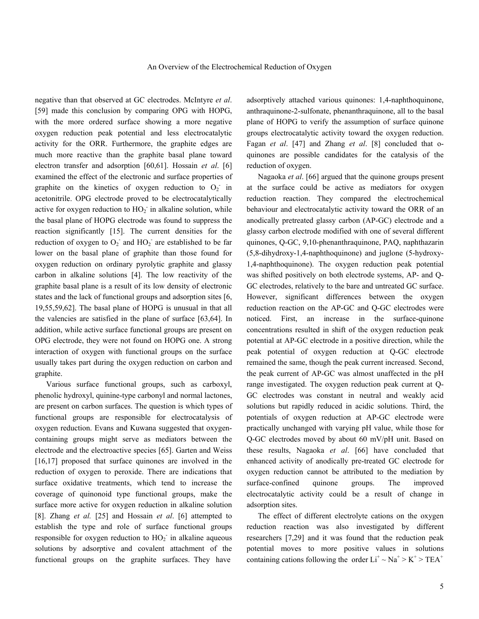negative than that observed at GC electrodes. McIntyre *et al*. [59] made this conclusion by comparing OPG with HOPG, with the more ordered surface showing a more negative oxygen reduction peak potential and less electrocatalytic activity for the ORR. Furthermore, the graphite edges are much more reactive than the graphite basal plane toward electron transfer and adsorption [60,61]. Hossain *et al*. [6] examined the effect of the electronic and surface properties of graphite on the kinetics of oxygen reduction to  $O_2$  in acetonitrile. OPG electrode proved to be electrocatalytically active for oxygen reduction to  $HO_2^-$  in alkaline solution, while the basal plane of HOPG electrode was found to suppress the reaction significantly [15]. The current densities for the reduction of oxygen to  $O_2$  and  $HO_2$  are established to be far lower on the basal plane of graphite than those found for oxygen reduction on ordinary pyrolytic graphite and glassy carbon in alkaline solutions [4]. The low reactivity of the graphite basal plane is a result of its low density of electronic states and the lack of functional groups and adsorption sites [6, 19,55,59,62]. The basal plane of HOPG is unusual in that all the valencies are satisfied in the plane of surface [63,64]. In addition, while active surface functional groups are present on OPG electrode, they were not found on HOPG one. A strong interaction of oxygen with functional groups on the surface usually takes part during the oxygen reduction on carbon and graphite.

 Various surface functional groups, such as carboxyl, phenolic hydroxyl, quinine-type carbonyl and normal lactones, are present on carbon surfaces. The question is which types of functional groups are responsible for electrocatalysis of oxygen reduction. Evans and Kuwana suggested that oxygencontaining groups might serve as mediators between the electrode and the electroactive species [65]. Garten and Weiss [16,17] proposed that surface quinones are involved in the reduction of oxygen to peroxide. There are indications that surface oxidative treatments, which tend to increase the coverage of quinonoid type functional groups, make the surface more active for oxygen reduction in alkaline solution [8]. Zhang *et al.* [25] and Hossain *et al*. [6] attempted to establish the type and role of surface functional groups responsible for oxygen reduction to  $HO_2$ <sup>-</sup> in alkaline aqueous solutions by adsorptive and covalent attachment of the functional groups on the graphite surfaces. They have

adsorptively attached various quinones: 1,4-naphthoquinone, anthraquinone-2-sulfonate, phenanthraquinone, all to the basal plane of HOPG to verify the assumption of surface quinone groups electrocatalytic activity toward the oxygen reduction. Fagan *et al*. [47] and Zhang *et al*. [8] concluded that oquinones are possible candidates for the catalysis of the reduction of oxygen.

 Nagaoka *et al*. [66] argued that the quinone groups present at the surface could be active as mediators for oxygen reduction reaction. They compared the electrochemical behaviour and electrocatalytic activity toward the ORR of an anodically pretreated glassy carbon (AP-GC) electrode and a glassy carbon electrode modified with one of several different quinones, Q-GC, 9,10-phenanthraquinone, PAQ, naphthazarin (5,8-dihydroxy-1,4-naphthoquinone) and juglone (5-hydroxy-1,4-naphthoquinone). The oxygen reduction peak potential was shifted positively on both electrode systems, AP- and Q-GC electrodes, relatively to the bare and untreated GC surface. However, significant differences between the oxygen reduction reaction on the AP-GC and Q-GC electrodes were noticed. First, an increase in the surface-quinone concentrations resulted in shift of the oxygen reduction peak potential at AP-GC electrode in a positive direction, while the peak potential of oxygen reduction at Q-GC electrode remained the same, though the peak current increased. Second, the peak current of AP-GC was almost unaffected in the pH range investigated. The oxygen reduction peak current at Q-GC electrodes was constant in neutral and weakly acid solutions but rapidly reduced in acidic solutions. Third, the potentials of oxygen reduction at AP-GC electrode were practically unchanged with varying pH value, while those for Q-GC electrodes moved by about 60 mV/pH unit. Based on these results, Nagaoka *et al*. [66] have concluded that enhanced activity of anodically pre-treated GC electrode for oxygen reduction cannot be attributed to the mediation by surface-confined quinone groups. The improved electrocatalytic activity could be a result of change in adsorption sites.

 The effect of different electrolyte cations on the oxygen reduction reaction was also investigated by different researchers [7,29] and it was found that the reduction peak potential moves to more positive values in solutions containing cations following the order  $Li^+ \sim Na^+ > K^+ > TEA^+$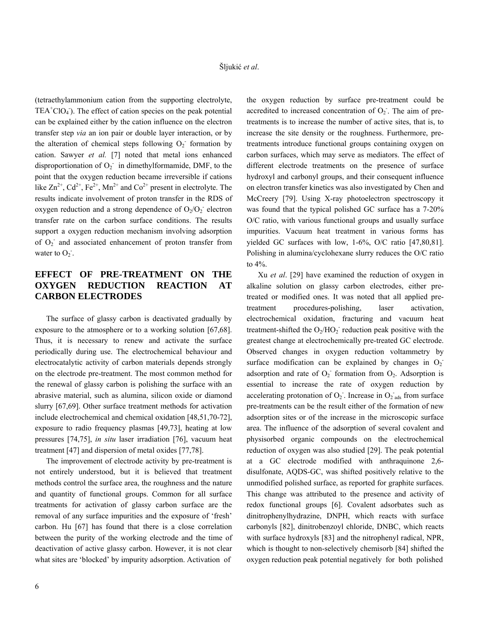(tetraethylammonium cation from the supporting electrolyte,  $TEA<sup>+</sup>ClO<sub>4</sub>$ . The effect of cation species on the peak potential can be explained either by the cation influence on the electron transfer step *via* an ion pair or double layer interaction, or by the alteration of chemical steps following  $O_2$ <sup>-</sup> formation by cation. Sawyer *et al.* [7] noted that metal ions enhanced disproportionation of  $O_2$ <sup>-</sup> in dimethylformamide, DMF, to the point that the oxygen reduction became irreversible if cations like  $\text{Zn}^{2+}$ ,  $\text{Cd}^{2+}$ ,  $\text{Fe}^{2+}$ ,  $\text{Mn}^{2+}$  and  $\text{Co}^{2+}$  present in electrolyte. The results indicate involvement of proton transfer in the RDS of oxygen reduction and a strong dependence of  $O_2/O_2$  electron transfer rate on the carbon surface conditions. The results support a oxygen reduction mechanism involving adsorption of  $O_2$  and associated enhancement of proton transfer from water to  $O_2$ .

# **EFFECT OF PRE-TREATMENT ON THE OXYGEN REDUCTION REACTION AT CARBON ELECTRODES**

 The surface of glassy carbon is deactivated gradually by exposure to the atmosphere or to a working solution [67,68]. Thus, it is necessary to renew and activate the surface periodically during use. The electrochemical behaviour and electrocatalytic activity of carbon materials depends strongly on the electrode pre-treatment. The most common method for the renewal of glassy carbon is polishing the surface with an abrasive material, such as alumina, silicon oxide or diamond slurry [67,69]. Other surface treatment methods for activation include electrochemical and chemical oxidation [48,51,70-72], exposure to radio frequency plasmas [49,73], heating at low pressures [74,75], *in situ* laser irradiation [76], vacuum heat treatment [47] and dispersion of metal oxides [77,78].

 The improvement of electrode activity by pre-treatment is not entirely understood, but it is believed that treatment methods control the surface area, the roughness and the nature and quantity of functional groups. Common for all surface treatments for activation of glassy carbon surface are the removal of any surface impurities and the exposure of 'fresh' carbon. Hu [67] has found that there is a close correlation between the purity of the working electrode and the time of deactivation of active glassy carbon. However, it is not clear what sites are 'blocked' by impurity adsorption. Activation of

the oxygen reduction by surface pre-treatment could be accredited to increased concentration of  $O<sub>2</sub>$ . The aim of pretreatments is to increase the number of active sites, that is, to increase the site density or the roughness. Furthermore, pretreatments introduce functional groups containing oxygen on carbon surfaces, which may serve as mediators. The effect of different electrode treatments on the presence of surface hydroxyl and carbonyl groups, and their consequent influence on electron transfer kinetics was also investigated by Chen and McCreery [79]. Using X-ray photoelectron spectroscopy it was found that the typical polished GC surface has a 7-20% O/C ratio, with various functional groups and usually surface impurities. Vacuum heat treatment in various forms has yielded GC surfaces with low, 1-6%, O/C ratio [47,80,81]. Polishing in alumina/cyclohexane slurry reduces the O/C ratio to 4%.

 Xu *et al*. [29] have examined the reduction of oxygen in alkaline solution on glassy carbon electrodes, either pretreated or modified ones. It was noted that all applied pretreatment procedures-polishing, laser activation, electrochemical oxidation, fracturing and vacuum heat treatment-shifted the  $O_2/HO_2$  reduction peak positive with the greatest change at electrochemically pre-treated GC electrode. Observed changes in oxygen reduction voltammetry by surface modification can be explained by changes in  $O_2$ adsorption and rate of  $O_2$ <sup>-</sup> formation from  $O_2$ . Adsorption is essential to increase the rate of oxygen reduction by accelerating protonation of  $O_2$ . Increase in  $O_2$  ads from surface pre-treatments can be the result either of the formation of new adsorption sites or of the increase in the microscopic surface area. The influence of the adsorption of several covalent and physisorbed organic compounds on the electrochemical reduction of oxygen was also studied [29]. The peak potential at a GC electrode modified with anthraquinone 2,6 disulfonate, AQDS-GC, was shifted positively relative to the unmodified polished surface, as reported for graphite surfaces. This change was attributed to the presence and activity of redox functional groups [6]. Covalent adsorbates such as dinitrophenylhydrazine, DNPH, which reacts with surface carbonyls [82], dinitrobenzoyl chloride, DNBC, which reacts with surface hydroxyls [83] and the nitrophenyl radical, NPR, which is thought to non-selectively chemisorb [84] shifted the oxygen reduction peak potential negatively for both polished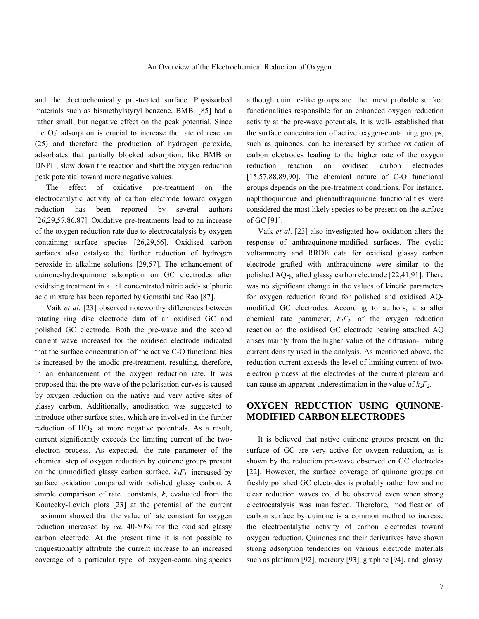and the electrochemically pre-treated surface. Physisorbed materials such as bismethylstyryl benzene, BMB, [85] had a rather small, but negative effect on the peak potential. Since the  $O_2$  adsorption is crucial to increase the rate of reaction (25) and therefore the production of hydrogen peroxide, adsorbates that partially blocked adsorption, like BMB or DNPH, slow down the reaction and shift the oxygen reduction peak potential toward more negative values.

 The effect of oxidative pre-treatment on the electrocatalytic activity of carbon electrode toward oxygen reduction has been reported by several authors [26,29,57,86,87]. Oxidative pre-treatments lead to an increase of the oxygen reduction rate due to electrocatalysis by oxygen containing surface species [26,29,66]. Oxidised carbon surfaces also catalyse the further reduction of hydrogen peroxide in alkaline solutions [29,57]. The enhancement of quinone-hydroquinone adsorption on GC electrodes after oxidising treatment in a 1:1 concentrated nitric acid- sulphuric acid mixture has been reported by Gomathi and Rao [87].

 Vaik *et al*. [23] observed noteworthy differences between rotating ring disc electrode data of an oxidised GC and polished GC electrode. Both the pre-wave and the second current wave increased for the oxidised electrode indicated that the surface concentration of the active C-O functionalities is increased by the anodic pre-treatment, resulting, therefore, in an enhancement of the oxygen reduction rate. It was proposed that the pre-wave of the polarisation curves is caused by oxygen reduction on the native and very active sites of glassy carbon. Additionally, anodisation was suggested to introduce other surface sites, which are involved in the further reduction of  $HO_2$ <sup> $\overline{\phantom{a}}$ </sup> at more negative potentials. As a result, current significantly exceeds the limiting current of the twoelectron process. As expected, the rate parameter of the chemical step of oxygen reduction by quinone groups present on the unmodified glassy carbon surface, *k1Γ1,* increased by surface oxidation compared with polished glassy carbon. A simple comparison of rate constants, *k*, evaluated from the Koutecky-Levich plots [23] at the potential of the current maximum showed that the value of rate constant for oxygen reduction increased by *ca*. 40-50% for the oxidised glassy carbon electrode. At the present time it is not possible to unquestionably attribute the current increase to an increased coverage of a particular type of oxygen-containing species

although quinine-like groups are the most probable surface functionalities responsible for an enhanced oxygen reduction activity at the pre-wave potentials. It is well- established that the surface concentration of active oxygen-containing groups, such as quinones, can be increased by surface oxidation of carbon electrodes leading to the higher rate of the oxygen reduction reaction on oxidised carbon electrodes [15,57,88,89,90]. The chemical nature of C-O functional groups depends on the pre-treatment conditions. For instance, naphthoquinone and phenanthraquinone functionalities were considered the most likely species to be present on the surface of GC [91].

 Vaik *et al*. [23] also investigated how oxidation alters the response of anthraquinone-modified surfaces. The cyclic voltammetry and RRDE data for oxidised glassy carbon electrode grafted with anthraquinone were similar to the polished AQ-grafted glassy carbon electrode [22,41,91]. There was no significant change in the values of kinetic parameters for oxygen reduction found for polished and oxidised AQmodified GC electrodes. According to authors, a smaller chemical rate parameter,  $k_2 \Gamma_2$ , of the oxygen reduction reaction on the oxidised GC electrode bearing attached AQ arises mainly from the higher value of the diffusion-limiting current density used in the analysis. As mentioned above, the reduction current exceeds the level of limiting current of twoelectron process at the electrodes of the current plateau and can cause an apparent underestimation in the value of  $k_2 \Gamma_2$ .

## **OXYGEN REDUCTION USING QUINONE-MODIFIED CARBON ELECTRODES**

 It is believed that native quinone groups present on the surface of GC are very active for oxygen reduction, as is shown by the reduction pre-wave observed on GC electrodes [22]. However, the surface coverage of quinone groups on freshly polished GC electrodes is probably rather low and no clear reduction waves could be observed even when strong electrocatalysis was manifested. Therefore, modification of carbon surface by quinone is a common method to increase the electrocatalytic activity of carbon electrodes toward oxygen reduction. Quinones and their derivatives have shown strong adsorption tendencies on various electrode materials such as platinum [92], mercury [93], graphite [94], and glassy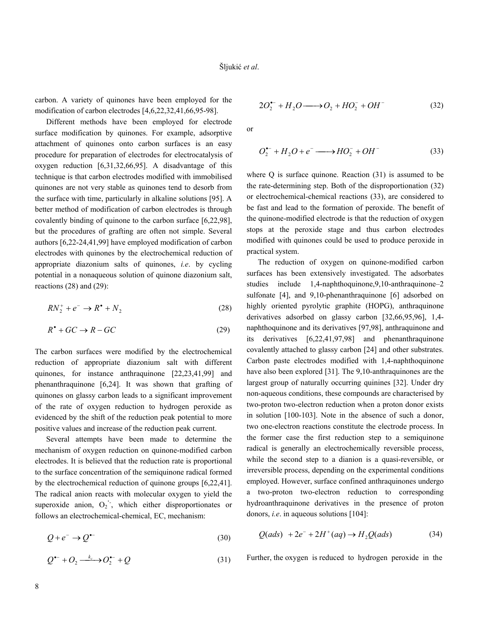carbon. A variety of quinones have been employed for the modification of carbon electrodes [4,6,22,32,41,66,95-98].

 Different methods have been employed for electrode surface modification by quinones. For example, adsorptive attachment of quinones onto carbon surfaces is an easy procedure for preparation of electrodes for electrocatalysis of oxygen reduction [6,31,32,66,95]. A disadvantage of this technique is that carbon electrodes modified with immobilised quinones are not very stable as quinones tend to desorb from the surface with time, particularly in alkaline solutions [95]. A better method of modification of carbon electrodes is through covalently binding of quinone to the carbon surface [6,22,98], but the procedures of grafting are often not simple. Several authors [6,22-24,41,99] have employed modification of carbon electrodes with quinones by the electrochemical reduction of appropriate diazonium salts of quinones, *i.e*. by cycling potential in a nonaqueous solution of quinone diazonium salt, reactions (28) and (29):

$$
RN_2^+ + e^- \to R^* + N_2 \tag{28}
$$

$$
R^{\bullet} + GC \to R - GC \tag{29}
$$

The carbon surfaces were modified by the electrochemical reduction of appropriate diazonium salt with different quinones, for instance anthraquinone [22,23,41,99] and phenanthraquinone [6,24]. It was shown that grafting of quinones on glassy carbon leads to a significant improvement of the rate of oxygen reduction to hydrogen peroxide as evidenced by the shift of the reduction peak potential to more positive values and increase of the reduction peak current.

 Several attempts have been made to determine the mechanism of oxygen reduction on quinone-modified carbon electrodes. It is believed that the reduction rate is proportional to the surface concentration of the semiquinone radical formed by the electrochemical reduction of quinone groups [6,22,41]. The radical anion reacts with molecular oxygen to yield the . superoxide anion,  $O_2$ , which either disproportionates or follows an electrochemical-chemical, EC, mechanism:

$$
Q + e^- \to Q^{\bullet -} \tag{30}
$$

$$
Q^{\bullet-} + Q_2 \xrightarrow{k_c} Q_2^{\bullet-} + Q \tag{31}
$$

$$
2O_2^{\bullet-} + H_2O \longrightarrow O_2 + HO_2^- + OH^- \tag{32}
$$

or

$$
O_2^{\bullet-} + H_2O + e^- \longrightarrow HO_2^- + OH^- \tag{33}
$$

where Q is surface quinone. Reaction (31) is assumed to be the rate-determining step. Both of the disproportionation (32) or electrochemical-chemical reactions (33), are considered to be fast and lead to the formation of peroxide. The benefit of the quinone-modified electrode is that the reduction of oxygen stops at the peroxide stage and thus carbon electrodes modified with quinones could be used to produce peroxide in practical system.

 The reduction of oxygen on quinone-modified carbon surfaces has been extensively investigated. The adsorbates studies include 1,4-naphthoquinone,9,10-anthraquinone–2 sulfonate [4], and 9,10-phenanthraquinone [6] adsorbed on highly oriented pyrolytic graphite (HOPG), anthraquinone derivatives adsorbed on glassy carbon [32,66,95,96], 1,4 naphthoquinone and its derivatives [97,98], anthraquinone and its derivatives [6,22,41,97,98] and phenanthraquinone covalently attached to glassy carbon [24] and other substrates. Carbon paste electrodes modified with 1,4-naphthoquinone have also been explored [31]. The 9,10-anthraquinones are the largest group of naturally occurring quinines [32]. Under dry non-aqueous conditions, these compounds are characterised by two-proton two-electron reduction when a proton donor exists in solution [100-103]. Note in the absence of such a donor, two one-electron reactions constitute the electrode process. In the former case the first reduction step to a semiquinone radical is generally an electrochemically reversible process, while the second step to a dianion is a quasi-reversible, or irreversible process, depending on the experimental conditions employed. However, surface confined anthraquinones undergo a two-proton two-electron reduction to corresponding hydroanthraquinone derivatives in the presence of proton donors, *i.e*. in aqueous solutions [104]:

$$
Q(ads) + 2e^- + 2H^+(aq) \rightarrow H_2Q(ads)
$$
 (34)

Further, the oxygen is reduced to hydrogen peroxide in the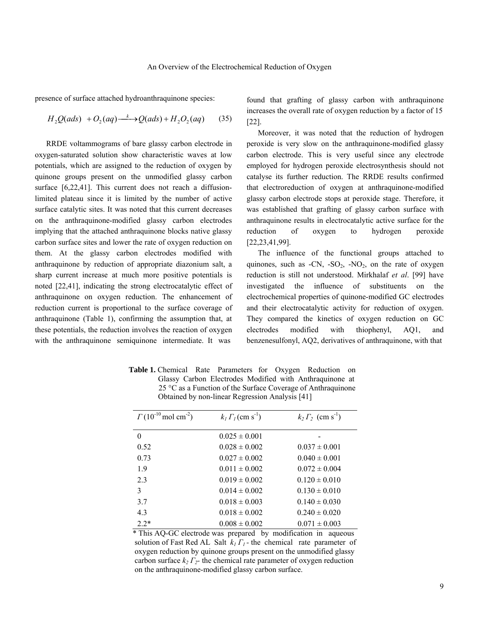presence of surface attached hydroanthraquinone species:

$$
H_2Q(ads) + O_2(aq) \xrightarrow{k} Q(ads) + H_2O_2(aq) \tag{35}
$$

 RRDE voltammograms of bare glassy carbon electrode in oxygen-saturated solution show characteristic waves at low potentials, which are assigned to the reduction of oxygen by quinone groups present on the unmodified glassy carbon surface [6,22,41]. This current does not reach a diffusionlimited plateau since it is limited by the number of active surface catalytic sites. It was noted that this current decreases on the anthraquinone-modified glassy carbon electrodes implying that the attached anthraquinone blocks native glassy carbon surface sites and lower the rate of oxygen reduction on them. At the glassy carbon electrodes modified with anthraquinone by reduction of appropriate diazonium salt, a sharp current increase at much more positive potentials is noted [22,41], indicating the strong electrocatalytic effect of anthraquinone on oxygen reduction. The enhancement of reduction current is proportional to the surface coverage of anthraquinone (Table 1), confirming the assumption that, at these potentials, the reduction involves the reaction of oxygen with the anthraquinone semiquinone intermediate. It was

found that grafting of glassy carbon with anthraquinone increases the overall rate of oxygen reduction by a factor of 15 [22].

 Moreover, it was noted that the reduction of hydrogen peroxide is very slow on the anthraquinone-modified glassy carbon electrode. This is very useful since any electrode employed for hydrogen peroxide electrosynthesis should not catalyse its further reduction. The RRDE results confirmed that electroreduction of oxygen at anthraquinone-modified glassy carbon electrode stops at peroxide stage. Therefore, it was established that grafting of glassy carbon surface with anthraquinone results in electrocatalytic active surface for the reduction of oxygen to hydrogen peroxide [22,23,41,99].

 The influence of the functional groups attached to quinones, such as -CN,  $-SO_2$ , -NO<sub>2</sub>, on the rate of oxygen reduction is still not understood. Mirkhalaf *et al*. [99] have investigated the influence of substituents on the electrochemical properties of quinone-modified GC electrodes and their electrocatalytic activity for reduction of oxygen. They compared the kinetics of oxygen reduction on GC electrodes modified with thiophenyl, AQ1, and benzenesulfonyl, AQ2, derivatives of anthraquinone, with that

 **Table 1.** Chemical Rate Parameters for Oxygen Reduction on Glassy Carbon Electrodes Modified with Anthraquinone at 25 °C as a Function of the Surface Coverage of Anthraquinone Obtained by non-linear Regression Analysis [41]

| $\Gamma(10^{-10} \,\mathrm{mol \ cm^{-2}})$ | $k_I \Gamma_I$ (cm s <sup>-1</sup> ) | $k_2 \Gamma_2$ (cm s <sup>-1</sup> ) |
|---------------------------------------------|--------------------------------------|--------------------------------------|
| 0                                           | $0.025 \pm 0.001$                    |                                      |
| 0.52                                        | $0.028 \pm 0.002$                    | $0.037 \pm 0.001$                    |
| 0.73                                        | $0.027 \pm 0.002$                    | $0.040 \pm 0.001$                    |
| 1.9                                         | $0.011 \pm 0.002$                    | $0.072 \pm 0.004$                    |
| 2.3                                         | $0.019 \pm 0.002$                    | $0.120 \pm 0.010$                    |
| 3                                           | $0.014 \pm 0.002$                    | $0.130 \pm 0.010$                    |
| 3.7                                         | $0.018 \pm 0.003$                    | $0.140 \pm 0.030$                    |
| 4.3                                         | $0.018 \pm 0.002$                    | $0.240 \pm 0.020$                    |
| $2.2*$                                      | $0.008 \pm 0.002$                    | $0.071 \pm 0.003$                    |

 \* This AQ-GC electrode was prepared by modification in aqueous solution of Fast Red AL Salt *k1 Γ1 -* the chemical rate parameter of oxygen reduction by quinone groups present on the unmodified glassy carbon surface  $k_2 \Gamma_2$ - the chemical rate parameter of oxygen reduction on the anthraquinone-modified glassy carbon surface.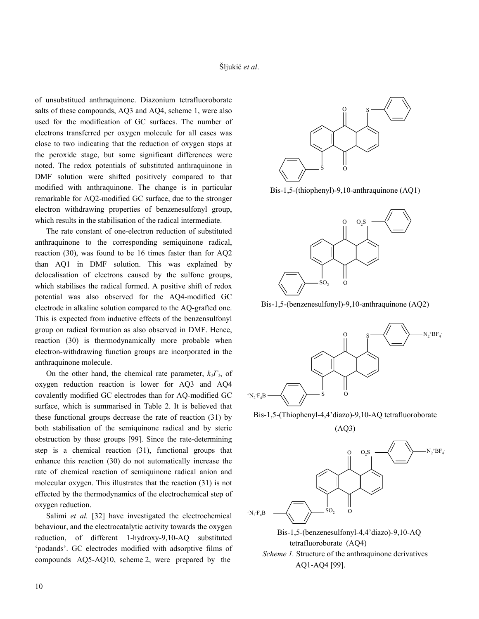of unsubstitued anthraquinone. Diazonium tetrafluoroborate salts of these compounds, AQ3 and AQ4, scheme 1, were also used for the modification of GC surfaces. The number of electrons transferred per oxygen molecule for all cases was close to two indicating that the reduction of oxygen stops at the peroxide stage, but some significant differences were noted. The redox potentials of substituted anthraquinone in DMF solution were shifted positively compared to that modified with anthraquinone. The change is in particular remarkable for AQ2-modified GC surface, due to the stronger electron withdrawing properties of benzenesulfonyl group, which results in the stabilisation of the radical intermediate.

 The rate constant of one-electron reduction of substituted anthraquinone to the corresponding semiquinone radical, reaction (30), was found to be 16 times faster than for AQ2 than AQ1 in DMF solution. This was explained by delocalisation of electrons caused by the sulfone groups, which stabilises the radical formed. A positive shift of redox potential was also observed for the AQ4-modified GC electrode in alkaline solution compared to the AQ-grafted one. This is expected from inductive effects of the benzensulfonyl group on radical formation as also observed in DMF. Hence, reaction (30) is thermodynamically more probable when electron-withdrawing function groups are incorporated in the anthraquinone molecule.

 On the other hand, the chemical rate parameter, *k2Γ2*, of oxygen reduction reaction is lower for AQ3 and AQ4 covalently modified GC electrodes than for AQ-modified GC surface, which is summarised in Table 2. It is believed that these functional groups decrease the rate of reaction (31) by both stabilisation of the semiquinone radical and by steric obstruction by these groups [99]. Since the rate-determining step is a chemical reaction (31), functional groups that enhance this reaction (30) do not automatically increase the rate of chemical reaction of semiquinone radical anion and molecular oxygen. This illustrates that the reaction (31) is not effected by the thermodynamics of the electrochemical step of oxygen reduction.

 Salimi *et al.* [32] have investigated the electrochemical behaviour, and the electrocatalytic activity towards the oxygen reduction, of different 1-hydroxy-9,10-AQ substituted 'podands'. GC electrodes modified with adsorptive films of compounds AQ5-AQ10, scheme 2, were prepared by the



Bis-1,5-(thiophenyl)-9,10-anthraquinone (AQ1)



Bis-1,5-(benzenesulfonyl)-9,10-anthraquinone (AQ2)



Bis-1,5-(Thiophenyl-4,4'diazo)-9,10-AQ tetrafluoroborate

(AQ3)



 Bis-1,5-(benzenesulfonyl-4,4'diazo)-9,10-AQ tetrafluoroborate (AQ4) *Scheme 1.* Structure of the anthraquinone derivatives AQ1-AQ4 [99].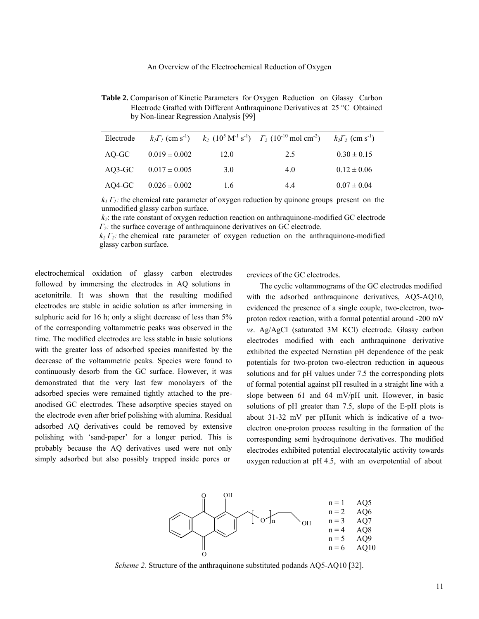**Table 2.** Comparison of Kinetic Parameters for Oxygen Reduction on Glassy Carbon Electrode Grafted with Different Anthraquinone Derivatives at 25 °C Obtained by Non-linear Regression Analysis [99]

| Electrode |                   |      | $k_1\Gamma_1$ (cm s <sup>-1</sup> ) $k_2$ (10 <sup>5</sup> M <sup>-1</sup> s <sup>-1</sup> ) $\Gamma_2$ (10 <sup>-10</sup> mol cm <sup>-2</sup> ) $k_2\Gamma_2$ (cm s <sup>-1</sup> ) |                 |
|-----------|-------------------|------|---------------------------------------------------------------------------------------------------------------------------------------------------------------------------------------|-----------------|
| AO-GC     | $0.019 \pm 0.002$ | 12.0 | 2.5                                                                                                                                                                                   | $0.30 \pm 0.15$ |
| $AO3-GC$  | $0.017 \pm 0.005$ | 3.0  | 4.0                                                                                                                                                                                   | $0.12 \pm 0.06$ |
| AO4-GC    | $0.026 \pm 0.002$ | 1.6  | 44                                                                                                                                                                                    | $0.07 \pm 0.04$ |

 $k_I \Gamma_I$ : the chemical rate parameter of oxygen reduction by quinone groups present on the unmodified glassy carbon surface.

 $k_2$ : the rate constant of oxygen reduction reaction on anthraquinone-modified GC electrode *Γ*<sub>2</sub>: the surface coverage of anthraquinone derivatives on GC electrode.

 $k_2 \Gamma_2$ : the chemical rate parameter of oxygen reduction on the anthraquinone-modified glassy carbon surface.

electrochemical oxidation of glassy carbon electrodes followed by immersing the electrodes in AQ solutions in acetonitrile. It was shown that the resulting modified electrodes are stable in acidic solution as after immersing in sulphuric acid for 16 h; only a slight decrease of less than 5% of the corresponding voltammetric peaks was observed in the time. The modified electrodes are less stable in basic solutions with the greater loss of adsorbed species manifested by the decrease of the voltammetric peaks. Species were found to continuously desorb from the GC surface. However, it was demonstrated that the very last few monolayers of the adsorbed species were remained tightly attached to the preanodised GC electrodes. These adsorptive species stayed on the electrode even after brief polishing with alumina. Residual adsorbed AQ derivatives could be removed by extensive polishing with 'sand-paper' for a longer period. This is probably because the AQ derivatives used were not only simply adsorbed but also possibly trapped inside pores or

crevices of the GC electrodes.

 The cyclic voltammograms of the GC electrodes modified with the adsorbed anthraquinone derivatives, AQ5-AQ10, evidenced the presence of a single couple, two-electron, twoproton redox reaction, with a formal potential around -200 mV *vs*. Ag/AgCl (saturated 3M KCl) electrode. Glassy carbon electrodes modified with each anthraquinone derivative exhibited the expected Nernstian pH dependence of the peak potentials for two-proton two-electron reduction in aqueous solutions and for pH values under 7.5 the corresponding plots of formal potential against pH resulted in a straight line with a slope between 61 and 64 mV/pH unit. However, in basic solutions of pH greater than 7.5, slope of the E-pH plots is about 31-32 mV per pHunit which is indicative of a twoelectron one-proton process resulting in the formation of the corresponding semi hydroquinone derivatives. The modified electrodes exhibited potential electrocatalytic activity towards oxygen reduction at pH 4.5, with an overpotential of about



*Scheme 2.* Structure of the anthraquinone substituted podands AQ5-AQ10 [32].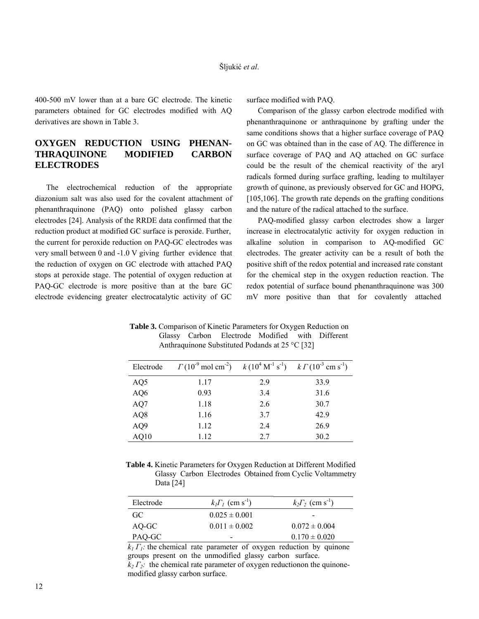400-500 mV lower than at a bare GC electrode. The kinetic parameters obtained for GC electrodes modified with AQ derivatives are shown in Table 3.

# **OXYGEN REDUCTION USING PHENAN-THRAQUINONE MODIFIED CARBON ELECTRODES**

 The electrochemical reduction of the appropriate diazonium salt was also used for the covalent attachment of phenanthraquinone (PAQ) onto polished glassy carbon electrodes [24]. Analysis of the RRDE data confirmed that the reduction product at modified GC surface is peroxide. Further, the current for peroxide reduction on PAQ-GC electrodes was very small between 0 and -1.0 V giving further evidence that the reduction of oxygen on GC electrode with attached PAQ stops at peroxide stage. The potential of oxygen reduction at PAQ-GC electrode is more positive than at the bare GC electrode evidencing greater electrocatalytic activity of GC surface modified with PAQ.

 Comparison of the glassy carbon electrode modified with phenanthraquinone or anthraquinone by grafting under the same conditions shows that a higher surface coverage of PAQ on GC was obtained than in the case of AQ. The difference in surface coverage of PAQ and AQ attached on GC surface could be the result of the chemical reactivity of the aryl radicals formed during surface grafting, leading to multilayer growth of quinone, as previously observed for GC and HOPG, [105,106]. The growth rate depends on the grafting conditions and the nature of the radical attached to the surface.

 PAQ-modified glassy carbon electrodes show a larger increase in electrocatalytic activity for oxygen reduction in alkaline solution in comparison to AQ-modified GC electrodes. The greater activity can be a result of both the positive shift of the redox potential and increased rate constant for the chemical step in the oxygen reduction reaction. The redox potential of surface bound phenanthraquinone was 300 mV more positive than that for covalently attached

| Electrode       | $\Gamma (10^{3} \text{ mol cm}^{2})$ $k(10^{4} \text{ M}^{1} \text{ s}^{1})$ $k \Gamma (10^{3} \text{ cm s}^{1})$ |     |      |
|-----------------|-------------------------------------------------------------------------------------------------------------------|-----|------|
| AQ <sub>5</sub> | 1.17                                                                                                              | 2.9 | 33.9 |
| AQ6             | 0.93                                                                                                              | 3.4 | 31.6 |
| AQ7             | 1.18                                                                                                              | 2.6 | 30.7 |
| AQ8             | 1.16                                                                                                              | 3.7 | 42.9 |
| AQ9             | 1.12                                                                                                              | 2.4 | 26.9 |
| AQ10            | 1.12                                                                                                              | 2.7 | 30.2 |

 **Table 3.** Comparison of Kinetic Parameters for Oxygen Reduction on Glassy Carbon Electrode Modified with Different Anthraquinone Substituted Podands at 25 °C [32]

 **Table 4.** Kinetic Parameters for Oxygen Reduction at Different Modified Glassy Carbon Electrodes Obtained from Cyclic Voltammetry Data [24]

| Electrode | $k_I\Gamma_I$ (cm s <sup>-1</sup> ) | $k_2\Gamma_2$ (cm s <sup>-1</sup> ) |
|-----------|-------------------------------------|-------------------------------------|
| GC.       | $0.025 \pm 0.001$                   | $\overline{\phantom{0}}$            |
| AQ-GC     | $0.011 \pm 0.002$                   | $0.072 \pm 0.004$                   |
| PAQ-GC    | -                                   | $0.170 \pm 0.020$                   |

*k<sub>2</sub>*  $Γ<sub>2</sub>$ : the chemical rate parameter of oxygen reductionon the quinone $k_1 \Gamma_1$ : the chemical rate parameter of oxygen reduction by quinone groups present on the unmodified glassy carbon surface. modified glassy carbon surface.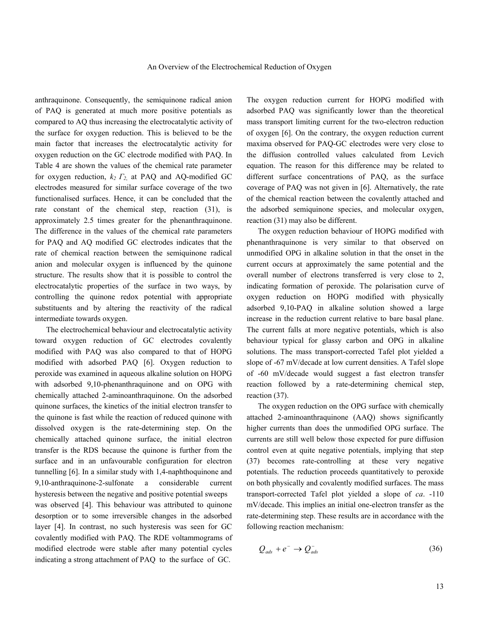anthraquinone. Consequently, the semiquinone radical anion of PAQ is generated at much more positive potentials as compared to AQ thus increasing the electrocatalytic activity of the surface for oxygen reduction. This is believed to be the main factor that increases the electrocatalytic activity for oxygen reduction on the GC electrode modified with PAQ. In Table 4 are shown the values of the chemical rate parameter for oxygen reduction, *k2 Γ2*, at PAQ and AQ-modified GC electrodes measured for similar surface coverage of the two functionalised surfaces. Hence, it can be concluded that the rate constant of the chemical step, reaction (31), is approximately 2.5 times greater for the phenanthraquinone. The difference in the values of the chemical rate parameters for PAQ and AQ modified GC electrodes indicates that the rate of chemical reaction between the semiquinone radical anion and molecular oxygen is influenced by the quinone structure. The results show that it is possible to control the electrocatalytic properties of the surface in two ways, by controlling the quinone redox potential with appropriate substituents and by altering the reactivity of the radical intermediate towards oxygen.

 The electrochemical behaviour and electrocatalytic activity toward oxygen reduction of GC electrodes covalently modified with PAQ was also compared to that of HOPG modified with adsorbed PAQ [6]. Oxygen reduction to peroxide was examined in aqueous alkaline solution on HOPG with adsorbed 9,10-phenanthraquinone and on OPG with chemically attached 2-aminoanthraquinone. On the adsorbed quinone surfaces, the kinetics of the initial electron transfer to the quinone is fast while the reaction of reduced quinone with dissolved oxygen is the rate-determining step. On the chemically attached quinone surface, the initial electron transfer is the RDS because the quinone is further from the surface and in an unfavourable configuration for electron tunnelling [6]. In a similar study with 1,4-naphthoquinone and 9,10-anthraquinone-2-sulfonate a considerable current hysteresis between the negative and positive potential sweeps was observed [4]. This behaviour was attributed to quinone desorption or to some irreversible changes in the adsorbed layer [4]. In contrast, no such hysteresis was seen for GC covalently modified with PAQ. The RDE voltammograms of modified electrode were stable after many potential cycles indicating a strong attachment of PAQ to the surface of GC.

The oxygen reduction current for HOPG modified with adsorbed PAQ was significantly lower than the theoretical mass transport limiting current for the two-electron reduction of oxygen [6]. On the contrary, the oxygen reduction current maxima observed for PAQ-GC electrodes were very close to the diffusion controlled values calculated from Levich equation. The reason for this difference may be related to different surface concentrations of PAQ, as the surface coverage of PAQ was not given in [6]. Alternatively, the rate of the chemical reaction between the covalently attached and the adsorbed semiquinone species, and molecular oxygen, reaction (31) may also be different.

 The oxygen reduction behaviour of HOPG modified with phenanthraquinone is very similar to that observed on unmodified OPG in alkaline solution in that the onset in the current occurs at approximately the same potential and the overall number of electrons transferred is very close to 2, indicating formation of peroxide. The polarisation curve of oxygen reduction on HOPG modified with physically adsorbed 9,10-PAQ in alkaline solution showed a large increase in the reduction current relative to bare basal plane. The current falls at more negative potentials, which is also behaviour typical for glassy carbon and OPG in alkaline solutions. The mass transport-corrected Tafel plot yielded a slope of -67 mV/decade at low current densities. A Tafel slope of -60 mV/decade would suggest a fast electron transfer reaction followed by a rate-determining chemical step, reaction (37).

 The oxygen reduction on the OPG surface with chemically attached 2-aminoanthraquinone (AAQ) shows significantly higher currents than does the unmodified OPG surface. The currents are still well below those expected for pure diffusion control even at quite negative potentials, implying that step (37) becomes rate-controlling at these very negative potentials. The reduction proceeds quantitatively to peroxide on both physically and covalently modified surfaces. The mass transport-corrected Tafel plot yielded a slope of *ca*. -110 mV/decade. This implies an initial one-electron transfer as the rate-determining step. These results are in accordance with the following reaction mechanism:

$$
Q_{ads} + e^- \rightarrow Q_{ads}^- \tag{36}
$$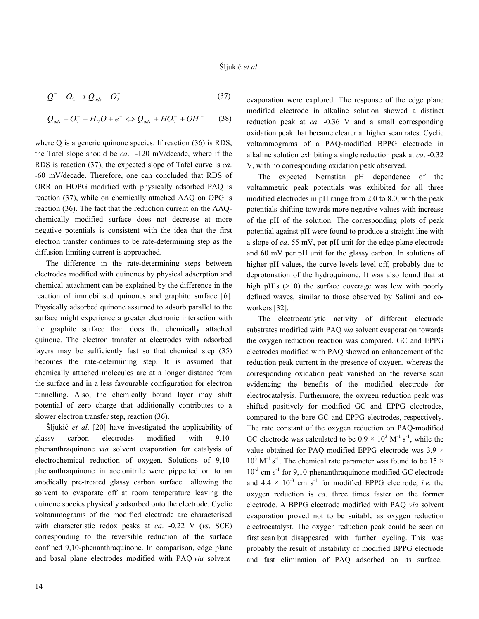$$
Q^- + O_2 \rightarrow Q_{ads} - O_2^- \tag{37}
$$

$$
Q_{ads} - O_2^- + H_2O + e^- \Leftrightarrow Q_{ads} + HO_2^- + OH^- \qquad (38)
$$

where Q is a generic quinone species. If reaction (36) is RDS, the Tafel slope should be *ca*. -120 mV/decade, where if the RDS is reaction (37), the expected slope of Tafel curve is *ca*. -60 mV/decade. Therefore, one can concluded that RDS of ORR on HOPG modified with physically adsorbed PAQ is reaction (37), while on chemically attached AAQ on OPG is reaction (36). The fact that the reduction current on the AAQchemically modified surface does not decrease at more negative potentials is consistent with the idea that the first electron transfer continues to be rate-determining step as the diffusion-limiting current is approached.

 The difference in the rate-determining steps between electrodes modified with quinones by physical adsorption and chemical attachment can be explained by the difference in the reaction of immobilised quinones and graphite surface [6]. Physically adsorbed quinone assumed to adsorb parallel to the surface might experience a greater electronic interaction with the graphite surface than does the chemically attached quinone. The electron transfer at electrodes with adsorbed layers may be sufficiently fast so that chemical step (35) becomes the rate-determining step. It is assumed that chemically attached molecules are at a longer distance from the surface and in a less favourable configuration for electron tunnelling. Also, the chemically bound layer may shift potential of zero charge that additionally contributes to a slower electron transfer step, reaction (36).

 Šljukić *et al*. [20] have investigated the applicability of glassy carbon electrodes modified with 9,10 phenanthraquinone *via* solvent evaporation for catalysis of electrochemical reduction of oxygen. Solutions of 9,10 phenanthraquinone in acetonitrile were pippetted on to an anodically pre-treated glassy carbon surface allowing the solvent to evaporate off at room temperature leaving the quinone species physically adsorbed onto the electrode. Cyclic voltammograms of the modified electrode are characterised with characteristic redox peaks at *ca*. -0.22 V (*vs*. SCE) corresponding to the reversible reduction of the surface confined 9,10-phenanthraquinone. In comparison, edge plane and basal plane electrodes modified with PAQ *via* solvent

evaporation were explored. The response of the edge plane modified electrode in alkaline solution showed a distinct reduction peak at *ca*. -0.36 V and a small corresponding oxidation peak that became clearer at higher scan rates. Cyclic voltammograms of a PAQ-modified BPPG electrode in alkaline solution exhibiting a single reduction peak at *ca*. -0.32 V, with no corresponding oxidation peak observed.

 The expected Nernstian pH dependence of the voltammetric peak potentials was exhibited for all three modified electrodes in pH range from 2.0 to 8.0, with the peak potentials shifting towards more negative values with increase of the pH of the solution. The corresponding plots of peak potential against pH were found to produce a straight line with a slope of *ca*. 55 mV, per pH unit for the edge plane electrode and 60 mV per pH unit for the glassy carbon. In solutions of higher pH values, the curve levels level off, probably due to deprotonation of the hydroquinone. It was also found that at high  $pH$ 's ( $>10$ ) the surface coverage was low with poorly defined waves, similar to those observed by Salimi and coworkers [32].

 The electrocatalytic activity of different electrode substrates modified with PAQ *via* solvent evaporation towards the oxygen reduction reaction was compared. GC and EPPG electrodes modified with PAQ showed an enhancement of the reduction peak current in the presence of oxygen, whereas the corresponding oxidation peak vanished on the reverse scan evidencing the benefits of the modified electrode for electrocatalysis. Furthermore, the oxygen reduction peak was shifted positively for modified GC and EPPG electrodes, compared to the bare GC and EPPG electrodes, respectively. The rate constant of the oxygen reduction on PAQ-modified GC electrode was calculated to be  $0.9 \times 10^3$  M<sup>-1</sup> s<sup>-1</sup>, while the value obtained for PAQ-modified EPPG electrode was  $3.9 \times$  $10^3$  M<sup>-1</sup> s<sup>-1</sup>. The chemical rate parameter was found to be 15  $\times$  $10^{-3}$  cm s<sup>-1</sup> for 9,10-phenanthraquinone modified GC electrode and  $4.4 \times 10^{-3}$  cm s<sup>-1</sup> for modified EPPG electrode, *i.e.* the oxygen reduction is *ca*. three times faster on the former electrode. A BPPG electrode modified with PAQ *via* solvent evaporation proved not to be suitable as oxygen reduction electrocatalyst. The oxygen reduction peak could be seen on first scan but disappeared with further cycling. This was probably the result of instability of modified BPPG electrode and fast elimination of PAQ adsorbed on its surface.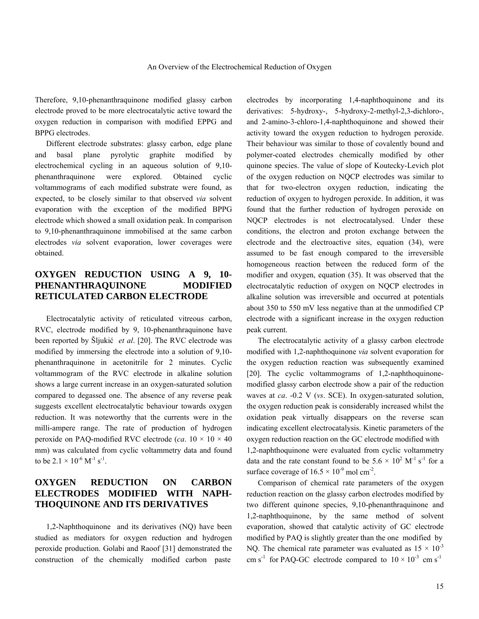Therefore, 9,10-phenanthraquinone modified glassy carbon electrode proved to be more electrocatalytic active toward the oxygen reduction in comparison with modified EPPG and BPPG electrodes.

 Different electrode substrates: glassy carbon, edge plane and basal plane pyrolytic graphite modified by electrochemical cycling in an aqueous solution of 9,10 phenanthraquinone were explored. Obtained cyclic voltammograms of each modified substrate were found, as expected, to be closely similar to that observed *via* solvent evaporation with the exception of the modified BPPG electrode which showed a small oxidation peak. In comparison to 9,10-phenanthraquinone immobilised at the same carbon electrodes *via* solvent evaporation, lower coverages were obtained.

# **OXYGEN REDUCTION USING A 9, 10- PHENANTHRAQUINONE MODIFIED RETICULATED CARBON ELECTRODE**

 Electrocatalytic activity of reticulated vitreous carbon, RVC, electrode modified by 9, 10-phenanthraquinone have been reported by Šljukić *et al*. [20]. The RVC electrode was modified by immersing the electrode into a solution of 9,10 phenanthraquinone in acetonitrile for 2 minutes. Cyclic voltammogram of the RVC electrode in alkaline solution shows a large current increase in an oxygen-saturated solution compared to degassed one. The absence of any reverse peak suggests excellent electrocatalytic behaviour towards oxygen reduction. It was noteworthy that the currents were in the milli-ampere range. The rate of production of hydrogen peroxide on PAQ-modified RVC electrode (*ca*.  $10 \times 10 \times 40$ mm) was calculated from cyclic voltammetry data and found to be  $2.1 \times 10^{-6}$  M<sup>-1</sup> s<sup>-1</sup>.

# **OXYGEN REDUCTION ON CARBON ELECTRODES MODIFIED WITH NAPH-THOQUINONE AND ITS DERIVATIVES**

 1,2-Naphthoquinone and its derivatives (NQ) have been studied as mediators for oxygen reduction and hydrogen peroxide production. Golabi and Raoof [31] demonstrated the construction of the chemically modified carbon paste

electrodes by incorporating 1,4-naphthoquinone and its derivatives: 5-hydroxy-, 5-hydroxy-2-methyl-2,3-dichloro-, and 2-amino-3-chloro-1,4-naphthoquinone and showed their activity toward the oxygen reduction to hydrogen peroxide. Their behaviour was similar to those of covalently bound and polymer-coated electrodes chemically modified by other quinone species. The value of slope of Koutecky-Levich plot of the oxygen reduction on NQCP electrodes was similar to that for two-electron oxygen reduction, indicating the reduction of oxygen to hydrogen peroxide. In addition, it was found that the further reduction of hydrogen peroxide on NOCP electrodes is not electrocatalysed. Under these conditions, the electron and proton exchange between the electrode and the electroactive sites, equation (34), were assumed to be fast enough compared to the irreversible homogeneous reaction between the reduced form of the modifier and oxygen, equation (35). It was observed that the electrocatalytic reduction of oxygen on NQCP electrodes in alkaline solution was irreversible and occurred at potentials about 350 to 550 mV less negative than at the unmodified CP electrode with a significant increase in the oxygen reduction peak current.

 The electrocatalytic activity of a glassy carbon electrode modified with 1,2-naphthoquinone *via* solvent evaporation for the oxygen reduction reaction was subsequently examined [20]. The cyclic voltammograms of 1,2-naphthoquinonemodified glassy carbon electrode show a pair of the reduction waves at *ca*. -0.2 V (*vs*. SCE). In oxygen-saturated solution, the oxygen reduction peak is considerably increased whilst the oxidation peak virtually disappears on the reverse scan indicating excellent electrocatalysis. Kinetic parameters of the oxygen reduction reaction on the GC electrode modified with 1,2-naphthoquinone were evaluated from cyclic voltammetry data and the rate constant found to be  $5.6 \times 10^2$  M<sup>-1</sup> s<sup>-1</sup> for a surface coverage of  $16.5 \times 10^{-9}$  mol cm<sup>-2</sup>.

 Comparison of chemical rate parameters of the oxygen reduction reaction on the glassy carbon electrodes modified by two different quinone species, 9,10-phenanthraquinone and 1,2-naphthoquinone, by the same method of solvent evaporation, showed that catalytic activity of GC electrode modified by PAQ is slightly greater than the one modified by NO. The chemical rate parameter was evaluated as  $15 \times 10^{-3}$ cm s<sup>-1</sup> for PAQ-GC electrode compared to  $10 \times 10^{-3}$  cm s<sup>-1</sup>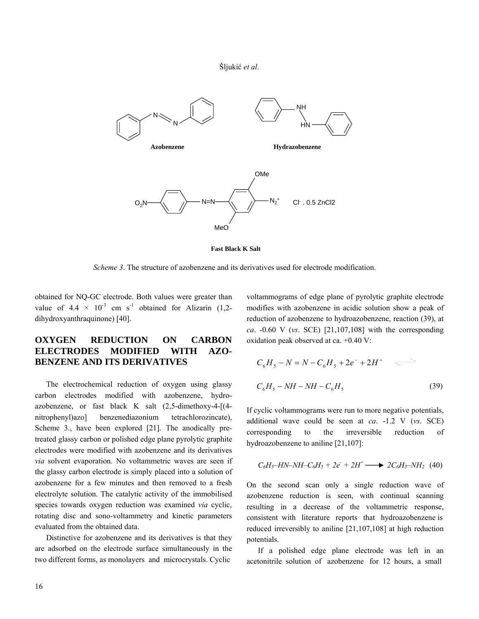

**Fast Black K Salt**

*Scheme 3*. The structure of azobenzene and its derivatives used for electrode modification.

obtained for NQ-GC electrode. Both values were greater than value of  $4.4 \times 10^{-3}$  cm s<sup>-1</sup> obtained for Alizarin (1,2dihydroxyanthraquinone) [40].

## **OXYGEN REDUCTION ON CARBON ELECTRODES MODIFIED WITH AZO-BENZENE AND ITS DERIVATIVES**

 The electrochemical reduction of oxygen using glassy carbon electrodes modified with azobenzene, hydroazobenzene, or fast black K salt (2,5-dimethoxy-4-[(4 nitrophenyl)azo] benzenediazonium tetrachlorozincate), Scheme 3., have been explored [21]. The anodically pretreated glassy carbon or polished edge plane pyrolytic graphite electrodes were modified with azobenzene and its derivatives *via* solvent evaporation. No voltammetric waves are seen if the glassy carbon electrode is simply placed into a solution of azobenzene for a few minutes and then removed to a fresh electrolyte solution. The catalytic activity of the immobilised species towards oxygen reduction was examined *via* cyclic, rotating disc and sono-voltammetry and kinetic parameters evaluated from the obtained data.

 Distinctive for azobenzene and its derivatives is that they are adsorbed on the electrode surface simultaneously in the two different forms, as monolayers and microcrystals. Cyclic

voltammograms of edge plane of pyrolytic graphite electrode modifies with azobenzene in acidic solution show a peak of reduction of azobenzene to hydroazobenzene, reaction (39), at *ca*. -0.60 V (*vs*. SCE) [21,107,108] with the corresponding oxidation peak observed at ca. +0.40 V:

$$
C_6H_5 - N = N - C_6H_5 + 2e^- + 2H^+ \quad \Longleftrightarrow
$$
  

$$
C_6H_5 - NH - NH - C_6H_5 \tag{39}
$$

If cyclic voltammograms were run to more negative potentials, additional wave could be seen at *ca*. -1.2 V (*vs*. SCE) corresponding to the irreversible reduction of hydroazobenzene to aniline [21,107]:

$$
C_6H_5-HN-NH-C_6H_5+2e^+ + 2H^+ \longrightarrow 2C_6H_5-NH_2 \tag{40}
$$

On the second scan only a single reduction wave of azobenzene reduction is seen, with continual scanning resulting in a decrease of the voltammetric response, consistent with literature reports that hydroazobenzene is reduced irreversibly to aniline [21,107,108] at high reduction potentials.

 If a polished edge plane electrode was left in an acetonitrile solution of azobenzene for 12 hours, a small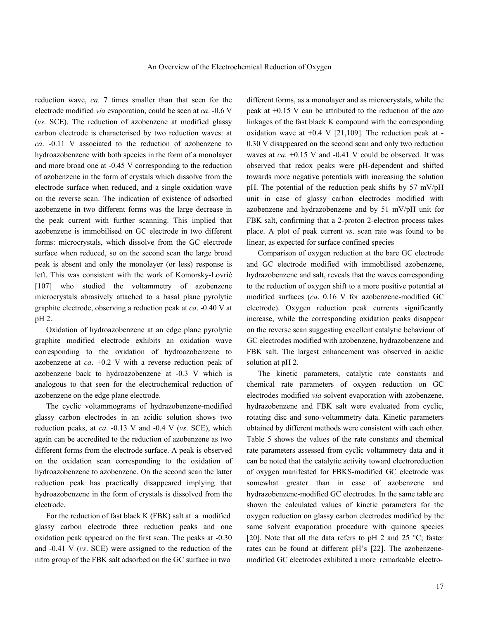reduction wave, *ca*. 7 times smaller than that seen for the electrode modified *via* evaporation, could be seen at *ca*. -0.6 V (*vs*. SCE). The reduction of azobenzene at modified glassy carbon electrode is characterised by two reduction waves: at *ca*. *-*0.11 V associated to the reduction of azobenzene to hydroazobenzene with both species in the form of a monolayer and more broad one at -0.45 V corresponding to the reduction of azobenzene in the form of crystals which dissolve from the electrode surface when reduced, and a single oxidation wave on the reverse scan. The indication of existence of adsorbed azobenzene in two different forms was the large decrease in the peak current with further scanning. This implied that azobenzene is immobilised on GC electrode in two different forms: microcrystals, which dissolve from the GC electrode surface when reduced, so on the second scan the large broad peak is absent and only the monolayer (or less) response is left. This was consistent with the work of Komorsky-Lovrić [107] who studied the voltammetry of azobenzene microcrystals abrasively attached to a basal plane pyrolytic graphite electrode, observing a reduction peak at *ca*. -0.40 V at pH 2.

 Oxidation of hydroazobenzene at an edge plane pyrolytic graphite modified electrode exhibits an oxidation wave corresponding to the oxidation of hydroazobenzene to azobenzene at *ca*. +0.2 V with a reverse reduction peak of azobenzene back to hydroazobenzene at -0.3 V which is analogous to that seen for the electrochemical reduction of azobenzene on the edge plane electrode.

 The cyclic voltammograms of hydrazobenzene-modified glassy carbon electrodes in an acidic solution shows two reduction peaks, at *ca*. -0.13 V and -0.4 V (*vs*. SCE), which again can be accredited to the reduction of azobenzene as two different forms from the electrode surface. A peak is observed on the oxidation scan corresponding to the oxidation of hydroazobenzene to azobenzene. On the second scan the latter reduction peak has practically disappeared implying that hydroazobenzene in the form of crystals is dissolved from the electrode.

 For the reduction of fast black K (FBK) salt at a modified glassy carbon electrode three reduction peaks and one oxidation peak appeared on the first scan. The peaks at -0.30 and -0.41 V (*vs*. SCE) were assigned to the reduction of the nitro group of the FBK salt adsorbed on the GC surface in two

different forms, as a monolayer and as microcrystals, while the peak at +0.15 V can be attributed to the reduction of the azo linkages of the fast black K compound with the corresponding oxidation wave at  $+0.4$  V [21,109]. The reduction peak at -0.30 V disappeared on the second scan and only two reduction waves at *ca*. +0.15 V and -0.41 V could be observed. It was observed that redox peaks were pH-dependent and shifted towards more negative potentials with increasing the solution pH. The potential of the reduction peak shifts by 57 mV/pH unit in case of glassy carbon electrodes modified with azobenzene and hydrazobenzene and by 51 mV/pH unit for FBK salt, confirming that a 2-proton 2-electron process takes place. A plot of peak current *vs*. scan rate was found to be linear, as expected for surface confined species

 Comparison of oxygen reduction at the bare GC electrode and GC electrode modified with immobilised azobenzene, hydrazobenzene and salt, reveals that the waves corresponding to the reduction of oxygen shift to a more positive potential at modified surfaces (*ca*. 0.16 V for azobenzene-modified GC electrode). Oxygen reduction peak currents significantly increase, while the corresponding oxidation peaks disappear on the reverse scan suggesting excellent catalytic behaviour of GC electrodes modified with azobenzene, hydrazobenzene and FBK salt. The largest enhancement was observed in acidic solution at pH 2.

 The kinetic parameters, catalytic rate constants and chemical rate parameters of oxygen reduction on GC electrodes modified *via* solvent evaporation with azobenzene, hydrazobenzene and FBK salt were evaluated from cyclic, rotating disc and sono-voltammetry data. Kinetic parameters obtained by different methods were consistent with each other. Table 5 shows the values of the rate constants and chemical rate parameters assessed from cyclic voltammetry data and it can be noted that the catalytic activity toward electroreduction of oxygen manifested for FBKS-modified GC electrode was somewhat greater than in case of azobenzene and hydrazobenzene-modified GC electrodes. In the same table are shown the calculated values of kinetic parameters for the oxygen reduction on glassy carbon electrodes modified by the same solvent evaporation procedure with quinone species [20]. Note that all the data refers to pH 2 and 25  $^{\circ}$ C; faster rates can be found at different pH's [22]. The azobenzenemodified GC electrodes exhibited a more remarkable electro-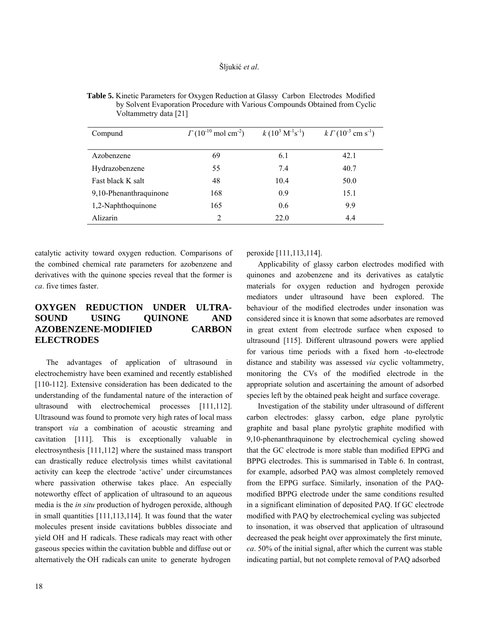| Compund                | $\Gamma(10^{-10} \text{ mol cm}^{-2})$ | $k(10^3 \,\mathrm{M}^{-1}\mathrm{s}^{-1})$ | $k \Gamma (10^{-3} \text{ cm s}^{-1})$ |
|------------------------|----------------------------------------|--------------------------------------------|----------------------------------------|
| Azobenzene             | 69                                     | 6.1                                        | 42.1                                   |
| Hydrazobenzene         | 55                                     | 7.4                                        | 40.7                                   |
| Fast black K salt      | 48                                     | 10.4                                       | 50.0                                   |
| 9,10-Phenanthraquinone | 168                                    | 0.9                                        | 15.1                                   |
| 1,2-Naphthoquinone     | 165                                    | 0.6                                        | 9.9                                    |
| Alizarin               | 2                                      | 22.0                                       | 4.4                                    |

 **Table 5.** Kinetic Parameters for Oxygen Reduction at Glassy Carbon Electrodes Modified by Solvent Evaporation Procedure with Various Compounds Obtained from Cyclic Voltammetry data [21]

catalytic activity toward oxygen reduction. Comparisons of the combined chemical rate parameters for azobenzene and derivatives with the quinone species reveal that the former is *ca*. five times faster.

# **OXYGEN REDUCTION UNDER ULTRA-SOUND USING QUINONE AND AZOBENZENE-MODIFIED CARBON ELECTRODES**

 The advantages of application of ultrasound in electrochemistry have been examined and recently established [110-112]. Extensive consideration has been dedicated to the understanding of the fundamental nature of the interaction of ultrasound with electrochemical processes [111,112]. Ultrasound was found to promote very high rates of local mass transport *via* a combination of acoustic streaming and cavitation [111]. This is exceptionally valuable in electrosynthesis [111,112] where the sustained mass transport can drastically reduce electrolysis times whilst cavitational activity can keep the electrode 'active' under circumstances where passivation otherwise takes place. An especially noteworthy effect of application of ultrasound to an aqueous media is the *in situ* production of hydrogen peroxide, although in small quantities [111,113,114]. It was found that the water molecules present inside cavitations bubbles dissociate and yield OH and H radicals. These radicals may react with other gaseous species within the cavitation bubble and diffuse out or alternatively the OH radicals can unite to generate hydrogen

peroxide [111,113,114].

 Applicability of glassy carbon electrodes modified with quinones and azobenzene and its derivatives as catalytic materials for oxygen reduction and hydrogen peroxide mediators under ultrasound have been explored. The behaviour of the modified electrodes under insonation was considered since it is known that some adsorbates are removed in great extent from electrode surface when exposed to ultrasound [115]. Different ultrasound powers were applied for various time periods with a fixed horn -to-electrode distance and stability was assessed *via* cyclic voltammetry, monitoring the CVs of the modified electrode in the appropriate solution and ascertaining the amount of adsorbed species left by the obtained peak height and surface coverage.

 Investigation of the stability under ultrasound of different carbon electrodes: glassy carbon, edge plane pyrolytic graphite and basal plane pyrolytic graphite modified with 9,10-phenanthraquinone by electrochemical cycling showed that the GC electrode is more stable than modified EPPG and BPPG electrodes. This is summarised in Table 6. In contrast, for example, adsorbed PAQ was almost completely removed from the EPPG surface. Similarly, insonation of the PAQmodified BPPG electrode under the same conditions resulted in a significant elimination of deposited PAQ. If GC electrode modified with PAQ by electrochemical cycling was subjected to insonation, it was observed that application of ultrasound decreased the peak height over approximately the first minute, *ca*. 50% of the initial signal, after which the current was stable indicating partial, but not complete removal of PAQ adsorbed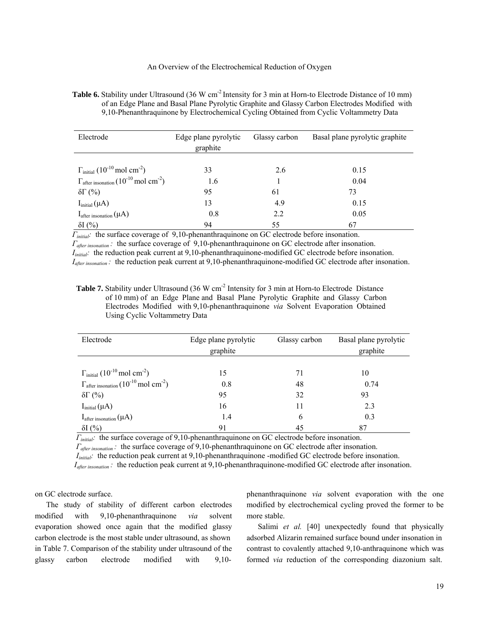#### An Overview of the Electrochemical Reduction of Oxygen

**Table 6.** Stability under Ultrasound (36 W cm<sup>-2</sup> Intensity for 3 min at Horn-to Electrode Distance of 10 mm) of an Edge Plane and Basal Plane Pyrolytic Graphite and Glassy Carbon Electrodes Modified with 9,10-Phenanthraquinone by Electrochemical Cycling Obtained from Cyclic Voltammetry Data

| Electrode                                                                 | Edge plane pyrolytic<br>graphite | Glassy carbon | Basal plane pyrolytic graphite |  |
|---------------------------------------------------------------------------|----------------------------------|---------------|--------------------------------|--|
| $\Gamma_{\text{initial}}$ (10 <sup>-10</sup> mol cm <sup>-2</sup> )       | 33                               | 2.6           | 0.15                           |  |
| $\Gamma_{\text{after}~\text{insonation}} (10^{-10} \,\text{mol cm}^{-2})$ | 1.6                              |               | 0.04                           |  |
| $\delta\Gamma$ (%)                                                        | 95                               | 61            | 73                             |  |
| $Iinitial(\mu A)$                                                         | 13                               | 4.9           | 0.15                           |  |
| $I_{after\,insonation}(\mu A)$                                            | 0.8                              | 2.2           | 0.05                           |  |
| $\delta I$ (%)                                                            | 94                               | 55            | 67                             |  |

 *Γinitial:* the surface coverage of 9,10-phenanthraquinone on GC electrode before insonation.  *Γafter insonation :* the surface coverage of 9,10-phenanthraquinone on GC electrode after insonation. *I<sub>initial</sub>*: the reduction peak current at 9,10-phenanthraquinone-modified GC electrode before insonation.  *Iafter insonation :* the reduction peak current at 9,10-phenanthraquinone-modified GC electrode after insonation.

Table 7. Stability under Ultrasound (36 W cm<sup>-2</sup> Intensity for 3 min at Horn-to Electrode Distance of 10 mm) of an Edge Plane and Basal Plane Pyrolytic Graphite and Glassy Carbon Electrodes Modified with 9,10-phenanthraquinone *via* Solvent Evaporation Obtained Using Cyclic Voltammetry Data

| Electrode                                                                         | Edge plane pyrolytic<br>graphite | Glassy carbon | Basal plane pyrolytic<br>graphite |  |
|-----------------------------------------------------------------------------------|----------------------------------|---------------|-----------------------------------|--|
|                                                                                   |                                  |               |                                   |  |
| $\Gamma_{\text{initial}}$ (10 <sup>-10</sup> mol cm <sup>-2</sup> )               | 15                               | 71            | 10                                |  |
| $\Gamma_{\text{after}~\text{insonation}} (10^{-10} \,\text{mol} \text{ cm}^{-2})$ | 0.8                              | 48            | 0.74                              |  |
| $\delta\Gamma$ (%)                                                                | 95                               | 32            | 93                                |  |
| $Iinitial(\mu A)$                                                                 | 16                               | 11            | 2.3                               |  |
| $I_{after\,insonation}(\mu A)$                                                    | 1.4                              | 6             | 0.3                               |  |
| $\delta I$ (%)                                                                    | 91                               | 45            | 87                                |  |

 *Γinitial:* the surface coverage of 9,10-phenanthraquinone on GC electrode before insonation.

*Γ*<sub>after insonation : the surface coverage of 9,10-phenanthraquinone on GC electrode after insonation.</sub>

*I<sub>initial</sub>*: the reduction peak current at 9,10-phenanthraquinone -modified GC electrode before insonation.

*I<sub>after insonation*: the reduction peak current at 9,10-phenanthraquinone-modified GC electrode after insonation.</sub>

on GC electrode surface.

 The study of stability of different carbon electrodes modified with 9,10-phenanthraquinone *via* solvent evaporation showed once again that the modified glassy carbon electrode is the most stable under ultrasound, as shown in Table 7. Comparison of the stability under ultrasound of the glassy carbon electrode modified with 9,10phenanthraquinone *via* solvent evaporation with the one modified by electrochemical cycling proved the former to be more stable.

 Salimi *et al.* [40] unexpectedly found that physically adsorbed Alizarin remained surface bound under insonation in contrast to covalently attached 9,10-anthraquinone which was formed *via* reduction of the corresponding diazonium salt.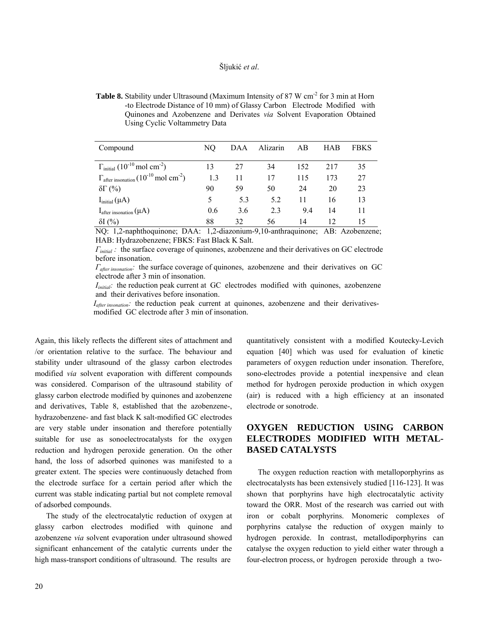|          | to Encendue Browner of To min) or Grassy Caroon. Encendue mounted with<br>Quinones and Azobenzene and Derivates via Solvent Evaporation Obtained<br>Using Cyclic Voltammetry Data |     |  |  |                     |             |
|----------|-----------------------------------------------------------------------------------------------------------------------------------------------------------------------------------|-----|--|--|---------------------|-------------|
| Compound |                                                                                                                                                                                   | NO. |  |  | DAA Alizarin AB HAB | <b>FBKS</b> |

 $\Gamma_{initial} (10^{-10} \text{ mol cm}^{-2})$  13 27 34 152 217 35

| <b>Table 8.</b> Stability under Ultrasound (Maximum Intensity of 87 W cm <sup>-2</sup> for 3 min at Horn |
|----------------------------------------------------------------------------------------------------------|
| -to Electrode Distance of 10 mm) of Glassy Carbon Electrode Modified with                                |
| Quinones and Azobenzene and Derivates via Solvent Evaporation Obtained                                   |
| Using Cyclic Voltammetry Data                                                                            |

| $\rm MO: 1.2$ nonkthogy ingno, $\rm DAA: 1.2$ diagonium 0.10 orthrogy ingno, A.D. Agaborgano |     |     |     |     |    |  |
|----------------------------------------------------------------------------------------------|-----|-----|-----|-----|----|--|
| $\delta I$ (%)                                                                               | 88  |     | 56  | 14  |    |  |
| $I_{\text{after}~\text{insonation}}(\mu A)$                                                  | 0.6 | 3.6 | 2.3 | 94  | 14 |  |
| $I_{initial}(\mu A)$                                                                         |     | 53  | 5.2 |     |    |  |
| $\delta\Gamma$ (%)                                                                           | 90  | 59  | 50  | 24  |    |  |
| $\Gamma_{\text{after insonation}} (10^{-10} \,\text{mol cm}^{-2})$                           | 1.3 |     | 17  | 115 |    |  |

 NQ: 1,2-naphthoquinone; DAA: 1,2-diazonium-9,10-anthraquinone; AB: Azobenzene; HAB: Hydrazobenzene; FBKS: Fast Black K Salt.

 *Γinitial :* the surface coverage of quinones, azobenzene and their derivatives on GC electrode before insonation.

 *Γafter insonation:* the surface coverage of quinones, azobenzene and their derivatives on GC electrode after 3 min of insonation.

*I<sub>initial</sub>:* the reduction peak current at GC electrodes modified with quinones, azobenzene and their derivatives before insonation.

*I<sub>after insonation</sub>*: the reduction peak current at quinones, azobenzene and their derivativesmodified GC electrode after 3 min of insonation.

Again, this likely reflects the different sites of attachment and /or orientation relative to the surface. The behaviour and stability under ultrasound of the glassy carbon electrodes modified *via* solvent evaporation with different compounds was considered. Comparison of the ultrasound stability of glassy carbon electrode modified by quinones and azobenzene and derivatives, Table 8, established that the azobenzene-, hydrazobenzene- and fast black K salt-modified GC electrodes are very stable under insonation and therefore potentially suitable for use as sonoelectrocatalysts for the oxygen reduction and hydrogen peroxide generation. On the other hand, the loss of adsorbed quinones was manifested to a greater extent. The species were continuously detached from the electrode surface for a certain period after which the current was stable indicating partial but not complete removal of adsorbed compounds.

 The study of the electrocatalytic reduction of oxygen at glassy carbon electrodes modified with quinone and azobenzene *via* solvent evaporation under ultrasound showed significant enhancement of the catalytic currents under the high mass-transport conditions of ultrasound. The results are

quantitatively consistent with a modified Koutecky-Levich equation [40] which was used for evaluation of kinetic parameters of oxygen reduction under insonation. Therefore, sono-electrodes provide a potential inexpensive and clean method for hydrogen peroxide production in which oxygen (air) is reduced with a high efficiency at an insonated electrode or sonotrode.

# **OXYGEN REDUCTION USING CARBON ELECTRODES MODIFIED WITH METAL-BASED CATALYSTS**

The oxygen reduction reaction with metalloporphyrins as electrocatalysts has been extensively studied [116-123]. It was shown that porphyrins have high electrocatalytic activity toward the ORR. Most of the research was carried out with iron or cobalt porphyrins. Monomeric complexes of porphyrins catalyse the reduction of oxygen mainly to hydrogen peroxide. In contrast, metallodiporphyrins can catalyse the oxygen reduction to yield either water through a four-electron process, or hydrogen peroxide through a two-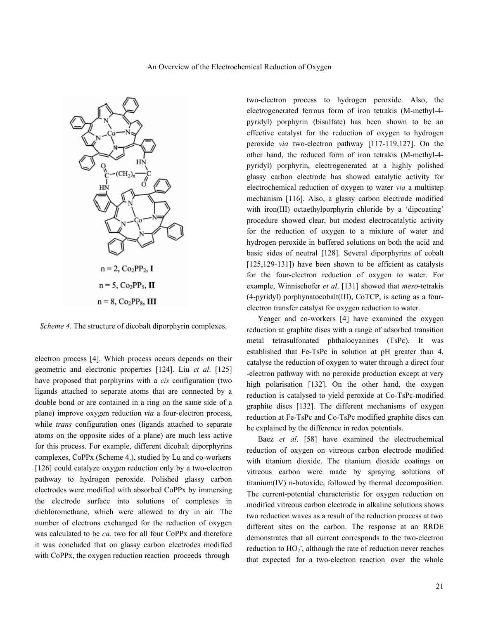

*Scheme 4.* The structure of dicobalt diporphyrin complexes.

electron process [4]. Which process occurs depends on their geometric and electronic properties [124]. Liu *et al*. [125] have proposed that porphyrins with a *cis* configuration (two ligands attached to separate atoms that are connected by a double bond or are contained in a ring on the same side of a plane) improve oxygen reduction *via* a four-electron process, while *trans* configuration ones (ligands attached to separate atoms on the opposite sides of a plane) are much less active for this process. For example, different dicobalt diporphyrins complexes, CoPPx (Scheme 4.), studied by Lu and co-workers [126] could catalyze oxygen reduction only by a two-electron pathway to hydrogen peroxide. Polished glassy carbon electrodes were modified with absorbed CoPPx by immersing the electrode surface into solutions of complexes in dichloromethane, which were allowed to dry in air. The number of electrons exchanged for the reduction of oxygen was calculated to be *ca.* two for all four CoPPx and therefore it was concluded that on glassy carbon electrodes modified with CoPPx, the oxygen reduction reaction proceeds through

two-electron process to hydrogen peroxide. Also, the electrogenerated ferrous form of iron tetrakis (M-methyl-4 pyridyl) porphyrin (bisulfate) has been shown to be an effective catalyst for the reduction of oxygen to hydrogen peroxide *via* two-electron pathway [117-119,127]. On the other hand, the reduced form of iron tetrakis (M-methyl-4 pyridyl) porphyrin, electrogenerated at a highly polished glassy carbon electrode has showed catalytic activity for electrochemical reduction of oxygen to water *via* a multistep mechanism [116]. Also, a glassy carbon electrode modified with iron(III) octaethylporphyrin chloride by a 'dipcoating' procedure showed clear, but modest electrocatalytic activity for the reduction of oxygen to a mixture of water and hydrogen peroxide in buffered solutions on both the acid and basic sides of neutral [128]. Several diporphyrins of cobalt [125,129-131]) have been shown to be efficient as catalysts for the four-electron reduction of oxygen to water. For example, Winnischofer *et al*. [131] showed that *meso*-tetrakis (4-pyridyl) porphynatocobalt(III), CoTCP, is acting as a fourelectron transfer catalyst for oxygen reduction to water.

 Yeager and co-workers [4] have examined the oxygen reduction at graphite discs with a range of adsorbed transition metal tetrasulfonated phthalocyanines (TsPc). It was established that Fe-TsPc in solution at pH greater than 4, catalyse the reduction of oxygen to water through a direct four -electron pathway with no peroxide production except at very high polarisation [132]. On the other hand, the oxygen reduction is catalysed to yield peroxide at Co-TsPc-modified graphite discs [132]. The different mechanisms of oxygen reduction at Fe-TsPc and Co-TsPc modified graphite discs can be explained by the difference in redox potentials.

 Baez *et al*. [58] have examined the electrochemical reduction of oxygen on vitreous carbon electrode modified with titanium dioxide. The titanium dioxide coatings on vitreous carbon were made by spraying solutions of titanium(IV) n-butoxide, followed by thermal decomposition. The current-potential characteristic for oxygen reduction on modified vitreous carbon electrode in alkaline solutions shows two reduction waves as a result of the reduction process at two different sites on the carbon. The response at an RRDE demonstrates that all current corresponds to the two-electron reduction to HO<sub>2</sub><sup>-</sup>, although the rate of reduction never reaches that expected for a two-electron reaction over the whole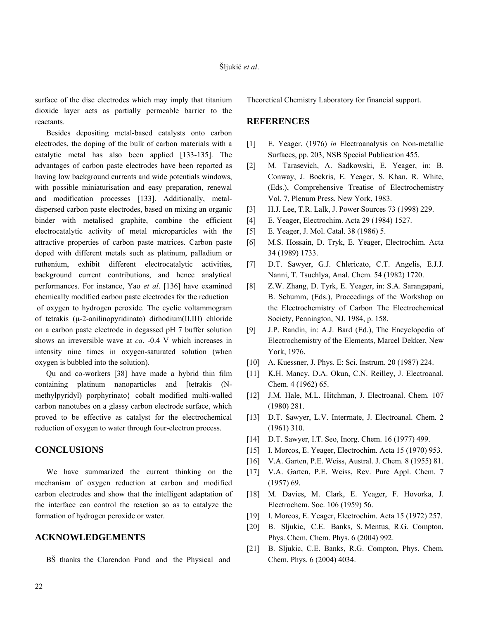surface of the disc electrodes which may imply that titanium dioxide layer acts as partially permeable barrier to the reactants.

 Besides depositing metal-based catalysts onto carbon electrodes, the doping of the bulk of carbon materials with a catalytic metal has also been applied [133-135]. The advantages of carbon paste electrodes have been reported as having low background currents and wide potentials windows, with possible miniaturisation and easy preparation, renewal and modification processes [133]. Additionally, metaldispersed carbon paste electrodes, based on mixing an organic binder with metalised graphite, combine the efficient electrocatalytic activity of metal microparticles with the attractive properties of carbon paste matrices. Carbon paste doped with different metals such as platinum, palladium or ruthenium, exhibit different electrocatalytic activities, background current contributions, and hence analytical performances. For instance, Yao *et al*. [136] have examined chemically modified carbon paste electrodes for the reduction of oxygen to hydrogen peroxide. The cyclic voltammogram of tetrakis (µ-2-anilinopyridinato) dirhodium(II,III) chloride on a carbon paste electrode in degassed pH 7 buffer solution shows an irreversible wave at *ca*. -0.4 V which increases in intensity nine times in oxygen-saturated solution (when oxygen is bubbled into the solution).

 Qu and co-workers [38] have made a hybrid thin film containing platinum nanoparticles and [tetrakis (Nmethylpyridyl) porphyrinato} cobalt modified multi-walled carbon nanotubes on a glassy carbon electrode surface, which proved to be effective as catalyst for the electrochemical reduction of oxygen to water through four-electron process.

### **CONCLUSIONS**

 We have summarized the current thinking on the mechanism of oxygen reduction at carbon and modified carbon electrodes and show that the intelligent adaptation of the interface can control the reaction so as to catalyze the formation of hydrogen peroxide or water.

### **ACKNOWLEDGEMENTS**

BŠ thanks the Clarendon Fund and the Physical and

Theoretical Chemistry Laboratory for financial support.

#### **REFERENCES**

- [1] E. Yeager, (1976) *in* Electroanalysis on Non-metallic Surfaces, pp. 203, NSB Special Publication 455.
- [2] M. Tarasevich, A. Sadkowski, E. Yeager, in: B. Conway, J. Bockris, E. Yeager, S. Khan, R. White, (Eds.), Comprehensive Treatise of Electrochemistry Vol. 7, Plenum Press, New York, 1983.
- [3] H.J. Lee, T.R. Lalk, J. Power Sources 73 (1998) 229.
- [4] E. Yeager, Electrochim. Acta 29 (1984) 1527.
- [5] E. Yeager, J. Mol. Catal. 38 (1986) 5.
- [6] M.S. Hossain, D. Tryk, E. Yeager, Electrochim. Acta 34 (1989) 1733.
- [7] D.T. Sawyer, G.J. Chlericato, C.T. Angelis, E.J.J. Nanni, T. Tsuchlya, Anal. Chem. 54 (1982) 1720.
- [8] Z.W. Zhang, D. Tyrk, E. Yeager, in: S.A. Sarangapani, B. Schumm, (Eds.), Proceedings of the Workshop on the Electrochemistry of Carbon The Electrochemical Society, Pennington, NJ. 1984, p. 158.
- [9] J.P. Randin, in: A.J. Bard (Ed.), The Encyclopedia of Electrochemistry of the Elements, Marcel Dekker, New York, 1976.
- [10] A. Kuessner, J. Phys. E: Sci. Instrum. 20 (1987) 224.
- [11] K.H. Mancy, D.A. Okun, C.N. Reilley, J. Electroanal. Chem*.* 4 (1962) 65.
- [12] J.M. Hale, M.L. Hitchman, J. Electroanal. Chem. 107 (1980) 281.
- [13] D.T. Sawyer, L.V. Interrnate, J. Electroanal. Chem. 2 (1961) 310.
- [14] D.T. Sawyer, I.T. Seo, Inorg. Chem. 16 (1977) 499.
- [15] I. Morcos, E. Yeager, Electrochim. Acta 15 (1970) 953.
- [16] V.A. Garten, P.E. Weiss, Austral. J. Chem. 8 (1955) 81.
- [17] V.A. Garten, P.E. Weiss, Rev. Pure Appl. Chem. 7 (1957) 69.
- [18] M. Davies, M. Clark, E. Yeager, F. Hovorka, J. Electrochem. Soc. 106 (1959) 56.
- [19] I. Morcos, E. Yeager, Electrochim. Acta 15 (1972) 257.
- [20] B. Sljukic, C.E. Banks, S. Mentus, R.G. Compton, Phys. Chem. Chem. Phys. 6 (2004) 992.
- [21] B. Sljukic, C.E. Banks, R.G. Compton, Phys. Chem. Chem. Phys. 6 (2004) 4034.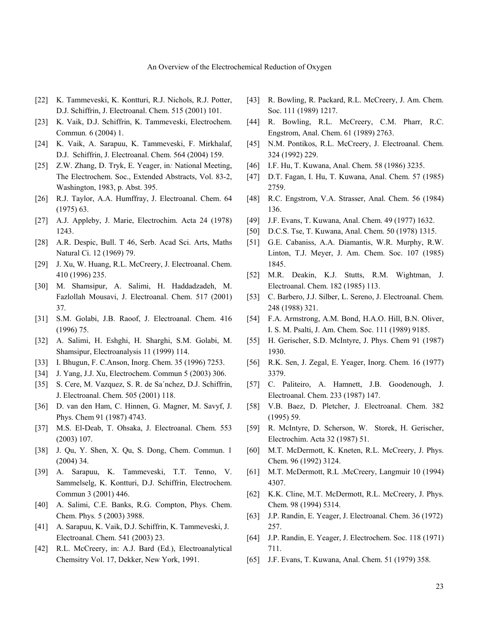- [22] K. Tammeveski, K. Kontturi, R.J. Nichols, R.J. Potter, D.J. Schiffrin, J. Electroanal. Chem. 515 (2001) 101.
- [23] K. Vaik, D.J. Schiffrin, K. Tammeveski, Electrochem. Commun*.* 6 (2004) 1.
- [24] K. Vaik, A. Sarapuu, K. Tammeveski, F. Mirkhalaf, D.J. Schiffrin, J. Electroanal. Chem. 564 (2004) 159.
- [25] Z.W. Zhang, D. Tryk, E. Yeager, in*:* National Meeting, The Electrochem. Soc., Extended Abstracts, Vol. 83-2, Washington, 1983, p. Abst. 395.
- [26] R.J. Taylor, A.A. Humffray, J. Electroanal. Chem. 64 (1975) 63.
- [27] A.J. Appleby, J. Marie, Electrochim. Acta 24 (1978) 1243.
- [28] A.R. Despic, Bull. T 46, Serb. Acad Sci. Arts, Maths Natural Ci. 12 (1969) 79.
- [29] J. Xu, W. Huang, R.L. McCreery, J. Electroanal. Chem. 410 (1996) 235.
- [30] M. Shamsipur, A. Salimi, H. Haddadzadeh, M. Fazlollah Mousavi, J. Electroanal. Chem. 517 (2001) 37.
- [31] S.M. Golabi, J.B. Raoof, J. Electroanal. Chem. 416 (1996) 75.
- [32] A. Salimi, H. Eshghi, H. Sharghi, S.M. Golabi, M. Shamsipur, Electroanalysis 11 (1999) 114.
- [33] I. Bhugun, F. C.Anson, Inorg. Chem. 35 (1996) 7253.
- [34] J. Yang, J.J. Xu, Electrochem. Commun 5 (2003) 306.
- [35] S. Cere, M. Vazquez, S. R. de Sa´nchez, D.J. Schiffrin, J. Electroanal. Chem. 505 (2001) 118.
- [36] D. van den Ham, C. Hinnen, G. Magner, M. Savyf, J. Phys. Chem 91 (1987) 4743.
- [37] M.S. El-Deab, T. Ohsaka, J. Electroanal. Chem. 553 (2003) 107.
- [38] J. Qu, Y. Shen, X. Qu, S. Dong, Chem. Commun. 1 (2004) 34.
- [39] A. Sarapuu, K. Tammeveski, T.T. Tenno, V. Sammelselg, K. Kontturi, D.J. Schiffrin, Electrochem. Commun 3 (2001) 446.
- [40] A. Salimi, C.E. Banks, R.G. Compton, Phys. Chem. Chem. Phys*.* 5 (2003) 3988.
- [41] A. Sarapuu, K. Vaik, D.J. Schiffrin, K. Tammeveski, J. Electroanal. Chem. 541 (2003) 23.
- [42] R.L. McCreery, in: A.J. Bard (Ed.), Electroanalytical Chemsitry Vol. 17, Dekker, New York, 1991.
- [43] R. Bowling, R. Packard, R.L. McCreery, J. Am. Chem. Soc. 111 (1989) 1217.
- [44] R. Bowling, R.L. McCreery, C.M. Pharr, R.C. Engstrom, Anal. Chem. 61 (1989) 2763.
- [45] N.M. Pontikos, R.L. McCreery, J. Electroanal. Chem. 324 (1992) 229.
- [46] I.F. Hu, T. Kuwana, Anal. Chem. 58 (1986) 3235.
- [47] D.T. Fagan, I. Hu, T. Kuwana, Anal. Chem. 57 (1985) 2759.
- [48] R.C. Engstrom, V.A. Strasser, Anal. Chem. 56 (1984) 136.
- [49] J.F. Evans, T. Kuwana, Anal. Chem. 49 (1977) 1632.
- [50] D.C.S. Tse, T. Kuwana, Anal. Chem. 50 (1978) 1315.
- [51] G.E. Cabaniss, A.A. Diamantis, W.R. Murphy, R.W. Linton, T.J. Meyer, J. Am. Chem. Soc. 107 (1985) 1845.
- [52] M.R. Deakin, K.J. Stutts, R.M. Wightman, J. Electroanal. Chem. 182 (1985) 113.
- [53] C. Barbero, J.J. Silber, L. Sereno, J. Electroanal. Chem. 248 (1988) 321.
- [54] F.A. Armstrong, A.M. Bond, H.A.O. Hill, B.N. Oliver, I. S. M. Psalti, J. Am. Chem. Soc. 111 (1989) 9185.
- [55] H. Gerischer, S.D. McIntyre, J. Phys. Chem 91 (1987) 1930.
- [56] R.K. Sen, J. Zegal, E. Yeager, Inorg. Chem. 16 (1977) 3379.
- [57] C. Paliteiro, A. Hamnett, J.B. Goodenough, J. Electroanal. Chem. 233 (1987) 147.
- [58] V.B. Baez, D. Pletcher, J. Electroanal. Chem. 382 (1995) 59.
- [59] R. McIntyre, D. Scherson, W. Storek, H. Gerischer, Electrochim. Acta 32 (1987) 51.
- [60] M.T. McDermott, K. Kneten, R.L. McCreery, J. Phys. Chem. 96 (1992) 3124.
- [61] M.T. McDermott, R.L .McCreery, Langmuir 10 (1994) 4307.
- [62] K.K. Cline, M.T. McDermott, R.L. McCreery, J. Phys. Chem. 98 (1994) 5314.
- [63] J.P. Randin, E. Yeager, J. Electroanal. Chem. 36 (1972) 257.
- [64] J.P. Randin, E. Yeager, J. Electrochem. Soc. 118 (1971) 711.
- [65] J.F. Evans, T. Kuwana, Anal. Chem. 51 (1979) 358.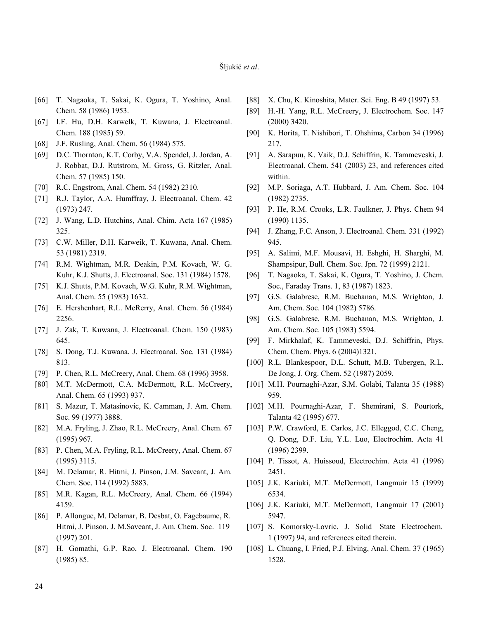- [66] T. Nagaoka, T. Sakai, K. Ogura, T. Yoshino, Anal. Chem. 58 (1986) 1953.
- [67] I.F. Hu, D.H. Karwelk, T. Kuwana, J. Electroanal. Chem. 188 (1985) 59.
- [68] J.F. Rusling, Anal. Chem. 56 (1984) 575.
- [69] D.C. Thornton, K.T. Corby, V.A. Spendel, J. Jordan, A. J. Robbat, D.J. Rutstrom, M. Gross, G. Ritzler, Anal. Chem. 57 (1985) 150.
- [70] R.C. Engstrom, Anal. Chem. 54 (1982) 2310.
- [71] R.J. Taylor, A.A. Humffray, J. Electroanal. Chem. 42 (1973) 247.
- [72] J. Wang, L.D. Hutchins, Anal. Chim. Acta 167 (1985) 325.
- [73] C.W. Miller, D.H. Karweik, T. Kuwana, Anal. Chem. 53 (1981) 2319.
- [74] R.M. Wightman, M.R. Deakin, P.M. Kovach, W. G. Kuhr, K.J. Shutts, J. Electroanal. Soc. 131 (1984) 1578.
- [75] K.J. Shutts, P.M. Kovach, W.G. Kuhr, R.M. Wightman, Anal. Chem. 55 (1983) 1632.
- [76] E. Hershenhart, R.L. McRerry, Anal. Chem. 56 (1984) 2256.
- [77] J. Zak, T. Kuwana, J. Electroanal. Chem. 150 (1983) 645.
- [78] S. Dong, T.J. Kuwana, J. Electroanal. Soc*.* 131 (1984) 813.
- [79] P. Chen, R.L. McCreery, Anal. Chem. 68 (1996) 3958.
- [80] M.T. McDermott, C.A. McDermott, R.L. McCreery, Anal. Chem. 65 (1993) 937.
- [81] S. Mazur, T. Matasinovic, K. Camman, J. Am. Chem. Soc. 99 (1977) 3888.
- [82] M.A. Fryling, J. Zhao, R.L. McCreery, Anal. Chem. 67 (1995) 967.
- [83] P. Chen, M.A. Fryling, R.L. McCreery, Anal. Chem. 67 (1995) 3115.
- [84] M. Delamar, R. Hitmi, J. Pinson, J.M. Saveant, J. Am. Chem. Soc. 114 (1992) 5883.
- [85] M.R. Kagan, R.L. McCreery, Anal. Chem. 66 (1994) 4159.
- [86] P. Allongue, M. Delamar, B. Desbat, O. Fagebaume, R. Hitmi, J. Pinson, J. M.Saveant, J. Am. Chem. Soc. 119 (1997) 201.
- [87] H. Gomathi, G.P. Rao, J. Electroanal. Chem. 190 (1985) 85.
- [88] X. Chu, K. Kinoshita, Mater. Sci. Eng. B 49 (1997) 53.
- [89] H.-H. Yang, R.L. McCreery, J. Electrochem. Soc. 147 (2000) 3420.
- [90] K. Horita, T. Nishibori, T. Ohshima, Carbon 34 (1996) 217.
- [91] A. Sarapuu, K. Vaik, D.J. Schiffrin, K. Tammeveski, J. Electroanal. Chem. 541 (2003) 23, and references cited within.
- [92] M.P. Soriaga, A.T. Hubbard, J. Am. Chem. Soc. 104 (1982) 2735.
- [93] P. He, R.M. Crooks, L.R. Faulkner, J. Phys. Chem 94 (1990) 1135.
- [94] J. Zhang, F.C. Anson, J. Electroanal. Chem. 331 (1992) 945.
- [95] A. Salimi, M.F. Mousavi, H. Eshghi, H. Sharghi, M. Shampsipur, Bull. Chem. Soc. Jpn. 72 (1999) 2121.
- [96] T. Nagaoka, T. Sakai, K. Ogura, T. Yoshino, J. Chem. Soc., Faraday Trans. 1, 83 (1987) 1823.
- [97] G.S. Galabrese, R.M. Buchanan, M.S. Wrighton, J. Am. Chem. Soc. 104 (1982) 5786.
- [98] G.S. Galabrese, R.M. Buchanan, M.S. Wrighton, J. Am. Chem. Soc. 105 (1983) 5594.
- [99] F. Mirkhalaf, K. Tammeveski, D.J. Schiffrin, Phys. Chem. Chem. Phys. 6 (2004)1321.
- [100] R.L. Blankespoor, D.L. Schutt, M.B. Tubergen, R.L. De Jong, J. Org. Chem. 52 (1987) 2059.
- [101] M.H. Pournaghi-Azar, S.M. Golabi, Talanta 35 (1988) 959.
- [102] M.H. Pournaghi-Azar, F. Shemirani, S. Pourtork, Talanta 42 (1995) 677.
- [103] P.W. Crawford, E. Carlos, J.C. Elleggod, C.C. Cheng, Q. Dong, D.F. Liu, Y.L. Luo, Electrochim. Acta 41 (1996) 2399.
- [104] P. Tissot, A. Huissoud, Electrochim. Acta 41 (1996) 2451.
- [105] J.K. Kariuki, M.T. McDermott, Langmuir 15 (1999) 6534.
- [106] J.K. Kariuki, M.T. McDermott, Langmuir 17 (2001) 5947.
- [107] S. Komorsky-Lovric, J. Solid State Electrochem. 1 (1997) 94, and references cited therein.
- [108] L. Chuang, I. Fried, P.J. Elving, Anal. Chem. 37 (1965) 1528.